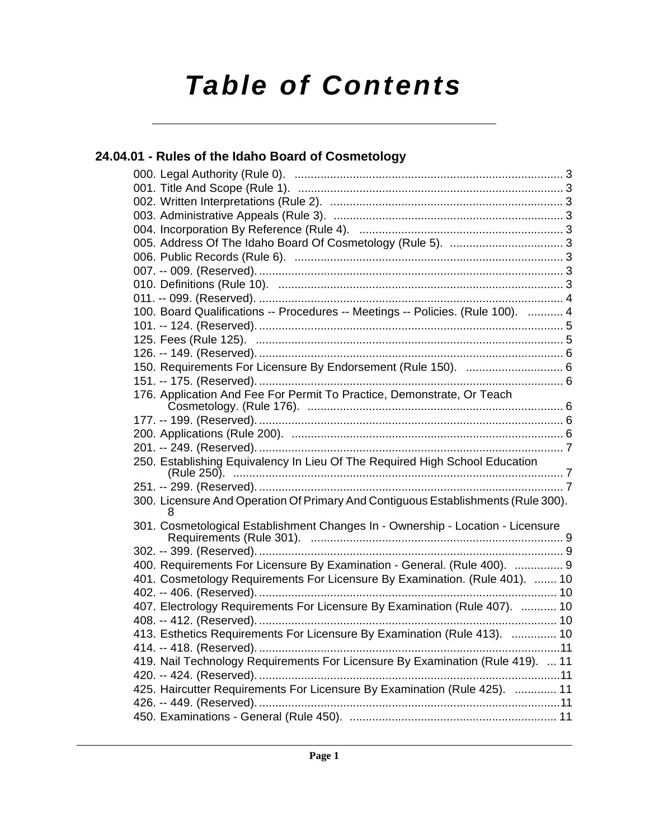# *Table of Contents*

### **[24.04.01 - Rules of the Idaho Board of Cosmetology](#page-2-0)**

| 100. Board Qualifications -- Procedures -- Meetings -- Policies. (Rule 100).  4        |
|----------------------------------------------------------------------------------------|
|                                                                                        |
|                                                                                        |
|                                                                                        |
| 150. Requirements For Licensure By Endorsement (Rule 150).  6                          |
|                                                                                        |
| 176. Application And Fee For Permit To Practice, Demonstrate, Or Teach                 |
|                                                                                        |
|                                                                                        |
|                                                                                        |
|                                                                                        |
| 250. Establishing Equivalency In Lieu Of The Required High School Education            |
|                                                                                        |
| 300. Licensure And Operation Of Primary And Contiguous Establishments (Rule 300).<br>8 |
| 301. Cosmetological Establishment Changes In - Ownership - Location - Licensure        |
|                                                                                        |
| 400. Requirements For Licensure By Examination - General. (Rule 400).  9               |
| 401. Cosmetology Requirements For Licensure By Examination. (Rule 401).  10            |
|                                                                                        |
| 407. Electrology Requirements For Licensure By Examination (Rule 407).  10             |
|                                                                                        |
| 413. Esthetics Requirements For Licensure By Examination (Rule 413).  10               |
|                                                                                        |
| 419. Nail Technology Requirements For Licensure By Examination (Rule 419).  11         |
|                                                                                        |
| 425. Haircutter Requirements For Licensure By Examination (Rule 425).  11              |
|                                                                                        |
|                                                                                        |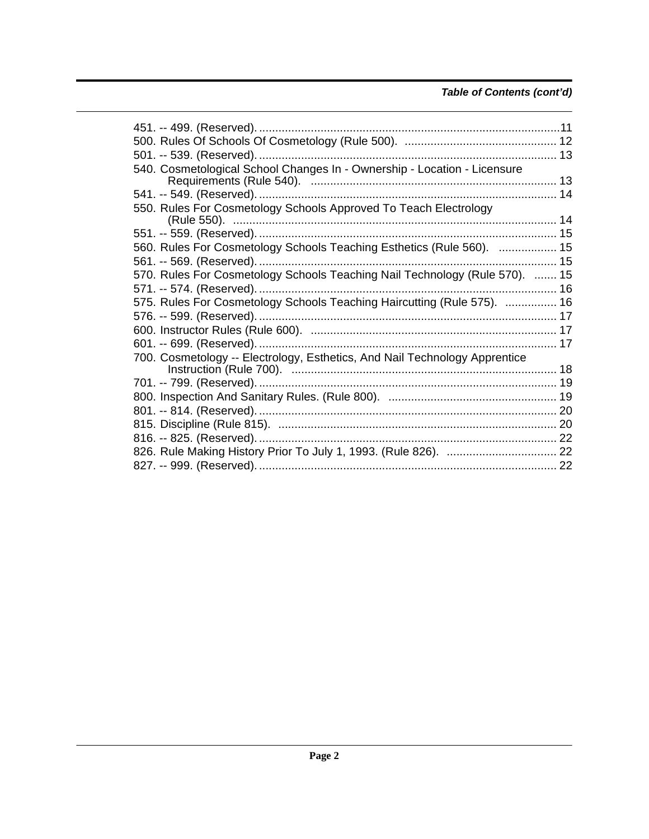### Table of Contents (cont'd)

| 540. Cosmetological School Changes In - Ownership - Location - Licensure    |  |
|-----------------------------------------------------------------------------|--|
|                                                                             |  |
|                                                                             |  |
| 550. Rules For Cosmetology Schools Approved To Teach Electrology            |  |
|                                                                             |  |
| 560. Rules For Cosmetology Schools Teaching Esthetics (Rule 560).  15       |  |
|                                                                             |  |
| 570. Rules For Cosmetology Schools Teaching Nail Technology (Rule 570).  15 |  |
|                                                                             |  |
| 575. Rules For Cosmetology Schools Teaching Haircutting (Rule 575).  16     |  |
|                                                                             |  |
|                                                                             |  |
|                                                                             |  |
| 700. Cosmetology -- Electrology, Esthetics, And Nail Technology Apprentice  |  |
|                                                                             |  |
|                                                                             |  |
|                                                                             |  |
|                                                                             |  |
|                                                                             |  |
|                                                                             |  |
|                                                                             |  |
|                                                                             |  |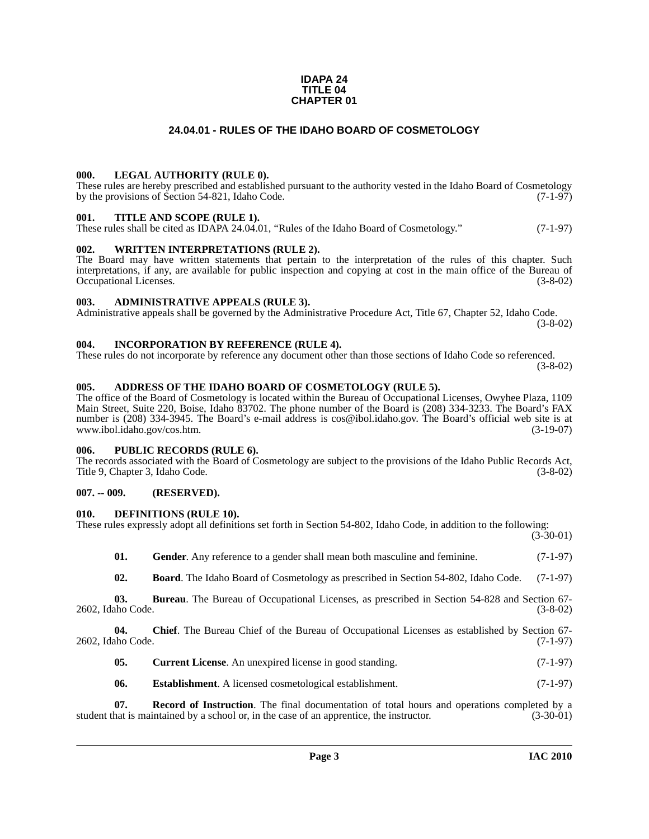#### **IDAPA 24 TITLE 04 CHAPTER 01**

#### **24.04.01 - RULES OF THE IDAHO BOARD OF COSMETOLOGY**

#### <span id="page-2-1"></span><span id="page-2-0"></span>**000. LEGAL AUTHORITY (RULE 0).**

These rules are hereby prescribed and established pursuant to the authority vested in the Idaho Board of Cosmetology by the provisions of Section 54-821, Idaho Code.  $(7-1-97)$ 

#### <span id="page-2-2"></span>**001. TITLE AND SCOPE (RULE 1).**

These rules shall be cited as IDAPA 24.04.01, "Rules of the Idaho Board of Cosmetology." (7-1-97)

#### <span id="page-2-3"></span>**002. WRITTEN INTERPRETATIONS (RULE 2).**

The Board may have written statements that pertain to the interpretation of the rules of this chapter. Such interpretations, if any, are available for public inspection and copying at cost in the main office of the Bureau of Occupational Licenses. (3-8-02)

#### <span id="page-2-4"></span>**003. ADMINISTRATIVE APPEALS (RULE 3).**

Administrative appeals shall be governed by the Administrative Procedure Act, Title 67, Chapter 52, Idaho Code. (3-8-02)

#### <span id="page-2-5"></span>**004. INCORPORATION BY REFERENCE (RULE 4).**

These rules do not incorporate by reference any document other than those sections of Idaho Code so referenced. (3-8-02)

#### <span id="page-2-10"></span><span id="page-2-6"></span>**005. ADDRESS OF THE IDAHO BOARD OF COSMETOLOGY (RULE 5).**

[The office of the Board of Cosmetology is located within the Bureau of Occupational Licenses, Owyhee Plaza, 1109](mailto:cos@ibol.idaho.gov)  Main Street, Suite 220, Boise, Idaho 83702. The phone number of the Board is (208) 334-3233. The Board's FAX number is (208) 334-3945. The Board's e-mail address is cos@ibol.idaho.gov. The Board's official web site is at www.ibol.idaho.gov/cos.htm. (3-19-07) www.ibol.idaho.gov/cos.htm.

#### <span id="page-2-7"></span>**006. PUBLIC RECORDS (RULE 6).**

The records associated with the Board of Cosmetology are subject to the provisions of the Idaho Public Records Act, Title 9, Chapter 3, Idaho Code. (3-8-02)

#### <span id="page-2-8"></span>**007. -- 009. (RESERVED).**

#### <span id="page-2-14"></span><span id="page-2-9"></span>**010. DEFINITIONS (RULE 10).**

| These rules expressly adopt all definitions set forth in Section 54-802, Idaho Code, in addition to the following: |  |  |  |
|--------------------------------------------------------------------------------------------------------------------|--|--|--|
|                                                                                                                    |  |  |  |
|                                                                                                                    |  |  |  |
|                                                                                                                    |  |  |  |

(3-30-01)

<span id="page-2-16"></span><span id="page-2-11"></span>

| 01. | <b>Gender.</b> Any reference to a gender shall mean both masculine and feminine.                     | $(7-1-97)$ |
|-----|------------------------------------------------------------------------------------------------------|------------|
| 02. | <b>Board</b> . The Idaho Board of Cosmetology as prescribed in Section 54-802, Idaho Code. (7-1-97)  |            |
| 03. | <b>Bureau</b> . The Bureau of Occupational Licenses, as prescribed in Section 54-828 and Section 67- |            |

2602, Idaho Code. (3-8-02)

**04. Chief**. The Bureau Chief of the Bureau of Occupational Licenses as established by Section 67- 2602, Idaho Code. (7-1-97)

- <span id="page-2-13"></span><span id="page-2-12"></span>**05.** Current License. An unexpired license in good standing. (7-1-97)
- <span id="page-2-17"></span><span id="page-2-15"></span>**06.** Establishment. A licensed cosmetological establishment. (7-1-97)

**07. Record of Instruction**. The final documentation of total hours and operations completed by a hat is maintained by a school or, in the case of an apprentice, the instructor. (3-30-01) student that is maintained by a school or, in the case of an apprentice, the instructor.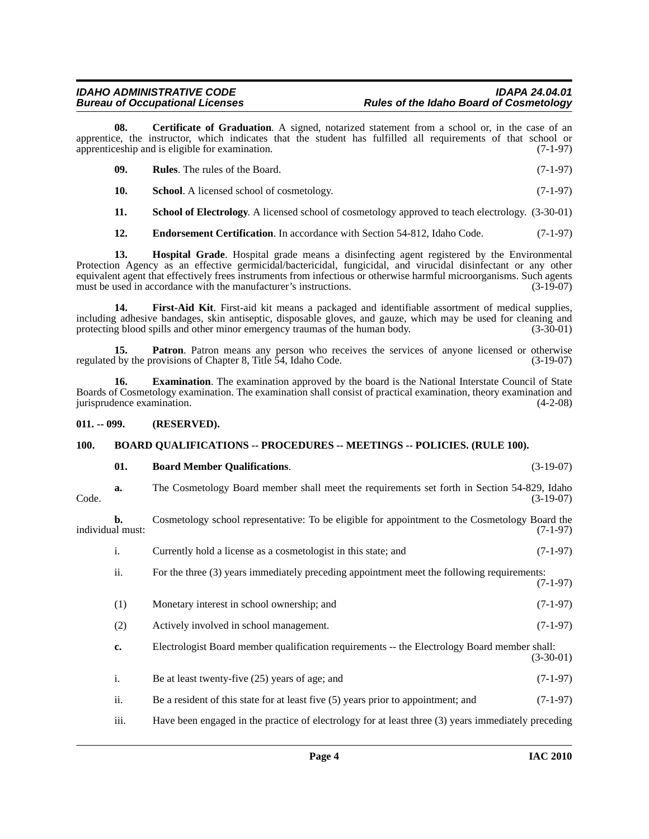**08. Certificate of Graduation**. A signed, notarized statement from a school or, in the case of an apprentice, the instructor, which indicates that the student has fulfilled all requirements of that school or apprenticeship and is eligible for examination. (7-1-97)

<span id="page-3-11"></span><span id="page-3-10"></span><span id="page-3-4"></span>

| - 09. | <b>Rules.</b> The rules of the Board.            | $(7-1-97)$ |
|-------|--------------------------------------------------|------------|
|       | <b>School.</b> A licensed school of cosmetology. | $(7-1-97)$ |

<span id="page-3-12"></span>**11. School of Electrology**. A licensed school of cosmetology approved to teach electrology. (3-30-01)

<span id="page-3-8"></span><span id="page-3-5"></span>**12. Endorsement Certification**. In accordance with Section 54-812, Idaho Code. (7-1-97)

**13. Hospital Grade**. Hospital grade means a disinfecting agent registered by the Environmental Protection Agency as an effective germicidal/bactericidal, fungicidal, and virucidal disinfectant or any other equivalent agent that effectively frees instruments from infectious or otherwise harmful microorganisms. Such agents must be used in accordance with the manufacturer's instructions. (3-19-07) must be used in accordance with the manufacturer's instructions.

<span id="page-3-7"></span>**14. First-Aid Kit**. First-aid kit means a packaged and identifiable assortment of medical supplies, including adhesive bandages, skin antiseptic, disposable gloves, and gauze, which may be used for cleaning and protecting blood spills and other minor emergency traumas of the human body.

<span id="page-3-9"></span>**15. Patron**. Patron means any person who receives the services of anyone licensed or otherwise if by the provisions of Chapter 8, Title 54, Idaho Code. (3-19-07) regulated by the provisions of Chapter 8, Title 54, Idaho Code.

<span id="page-3-6"></span>**16. Examination**. The examination approved by the board is the National Interstate Council of State Boards of Cosmetology examination. The examination shall consist of practical examination, theory examination and jurisprudence examination. (4-2-08)

#### <span id="page-3-0"></span>**011. -- 099. (RESERVED).**

#### <span id="page-3-1"></span>**100. BOARD QUALIFICATIONS -- PROCEDURES -- MEETINGS -- POLICIES. (RULE 100).**

#### <span id="page-3-3"></span><span id="page-3-2"></span>**01. Board Member Qualifications**. (3-19-07)

**a.** The Cosmetology Board member shall meet the requirements set forth in Section 54-829, Idaho Code. (3-19-07)

**b.** Cosmetology school representative: To be eligible for appointment to the Cosmetology Board the individual must: (7-1-97)

- i. Currently hold a license as a cosmetologist in this state; and (7-1-97)
- ii. For the three (3) years immediately preceding appointment meet the following requirements: (7-1-97)
- (1) Monetary interest in school ownership; and (7-1-97)
- (2) Actively involved in school management. (7-1-97)
- **c.** Electrologist Board member qualification requirements -- the Electrology Board member shall: (3-30-01)
- i. Be at least twenty-five  $(25)$  years of age; and  $(7-1-97)$
- ii. Be a resident of this state for at least five (5) years prior to appointment; and (7-1-97)
- iii. Have been engaged in the practice of electrology for at least three (3) years immediately preceding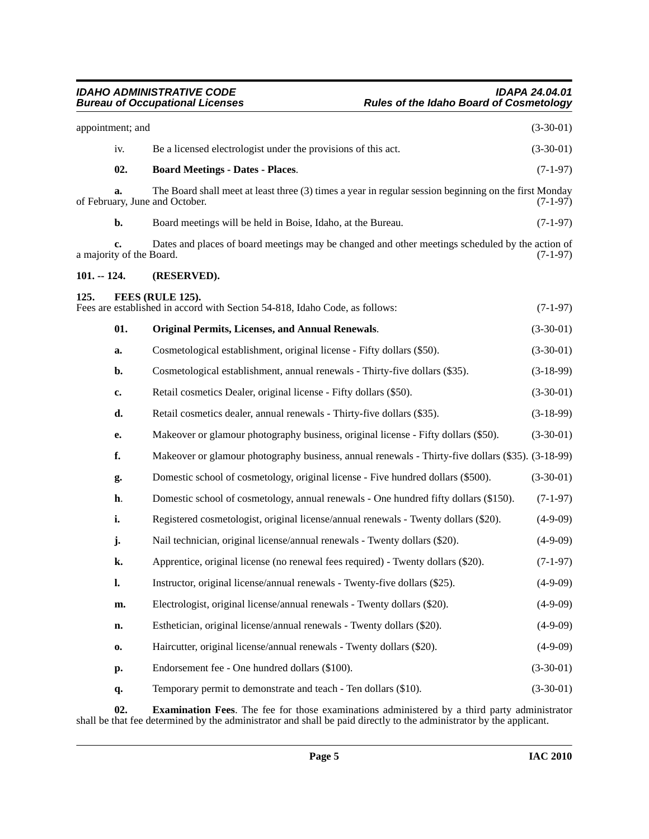<span id="page-4-5"></span><span id="page-4-4"></span><span id="page-4-2"></span><span id="page-4-1"></span><span id="page-4-0"></span>

|               | appointment; and               |                                                                                                                                         | $(3-30-01)$ |
|---------------|--------------------------------|-----------------------------------------------------------------------------------------------------------------------------------------|-------------|
|               | iv.                            | Be a licensed electrologist under the provisions of this act.                                                                           | $(3-30-01)$ |
|               | 02.                            | <b>Board Meetings - Dates - Places.</b>                                                                                                 | $(7-1-97)$  |
|               | a.                             | The Board shall meet at least three (3) times a year in regular session beginning on the first Monday<br>of February, June and October. | (7-1-97)    |
|               | b.                             | Board meetings will be held in Boise, Idaho, at the Bureau.                                                                             | $(7-1-97)$  |
|               | c.<br>a majority of the Board. | Dates and places of board meetings may be changed and other meetings scheduled by the action of                                         | $(7-1-97)$  |
| $101. - 124.$ |                                | (RESERVED).                                                                                                                             |             |
| 125.          |                                | FEES (RULE 125).<br>Fees are established in accord with Section 54-818, Idaho Code, as follows:                                         | $(7-1-97)$  |
|               | 01.                            | <b>Original Permits, Licenses, and Annual Renewals.</b>                                                                                 | $(3-30-01)$ |
|               | a.                             | Cosmetological establishment, original license - Fifty dollars (\$50).                                                                  | $(3-30-01)$ |
|               | b.                             | Cosmetological establishment, annual renewals - Thirty-five dollars (\$35).                                                             | $(3-18-99)$ |
|               | c.                             | Retail cosmetics Dealer, original license - Fifty dollars (\$50).                                                                       | $(3-30-01)$ |
|               | d.                             | Retail cosmetics dealer, annual renewals - Thirty-five dollars (\$35).                                                                  | $(3-18-99)$ |
|               | e.                             | Makeover or glamour photography business, original license - Fifty dollars (\$50).                                                      | $(3-30-01)$ |
|               | f.                             | Makeover or glamour photography business, annual renewals - Thirty-five dollars (\$35). (3-18-99)                                       |             |
|               | g.                             | Domestic school of cosmetology, original license - Five hundred dollars (\$500).                                                        | $(3-30-01)$ |
|               | h.                             | Domestic school of cosmetology, annual renewals - One hundred fifty dollars (\$150).                                                    | $(7-1-97)$  |
|               | i.                             | Registered cosmetologist, original license/annual renewals - Twenty dollars (\$20).                                                     | $(4-9-09)$  |
|               | j.                             | Nail technician, original license/annual renewals - Twenty dollars (\$20).                                                              | $(4-9-09)$  |
|               | k.                             | Apprentice, original license (no renewal fees required) - Twenty dollars (\$20).                                                        | $(7-1-97)$  |
|               | l.                             | Instructor, original license/annual renewals - Twenty-five dollars (\$25).                                                              | $(4-9-09)$  |
|               | m.                             | Electrologist, original license/annual renewals - Twenty dollars (\$20).                                                                | $(4-9-09)$  |
|               | n.                             | Esthetician, original license/annual renewals - Twenty dollars (\$20).                                                                  | $(4-9-09)$  |
|               | 0.                             | Haircutter, original license/annual renewals - Twenty dollars (\$20).                                                                   | $(4-9-09)$  |
|               | p.                             | Endorsement fee - One hundred dollars (\$100).                                                                                          | $(3-30-01)$ |
|               | q.                             | Temporary permit to demonstrate and teach - Ten dollars (\$10).                                                                         | $(3-30-01)$ |
|               |                                |                                                                                                                                         |             |

<span id="page-4-3"></span>**02. Examination Fees**. The fee for those examinations administered by a third party administrator shall be that fee determined by the administrator and shall be paid directly to the administrator by the applicant.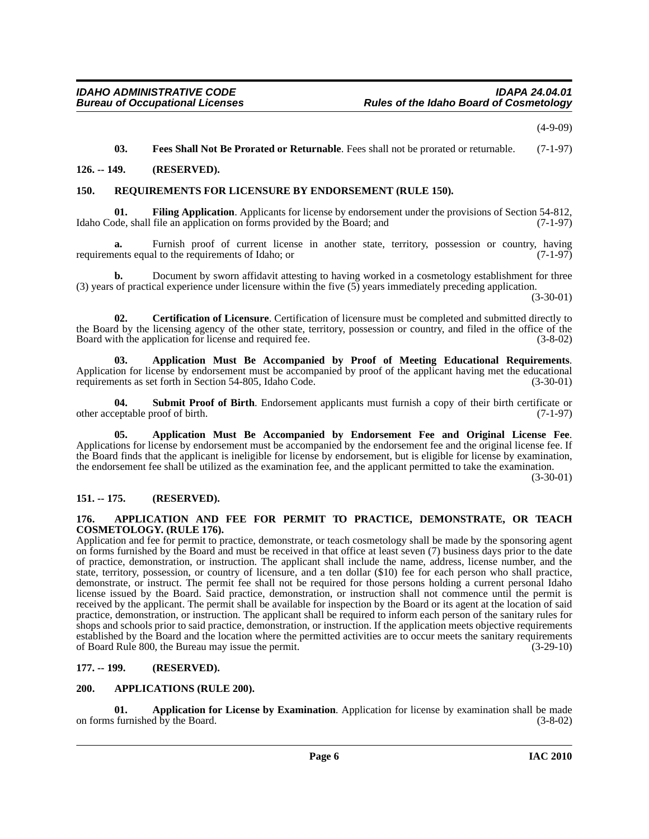(4-9-09)

<span id="page-5-14"></span><span id="page-5-13"></span><span id="page-5-12"></span>**03. Fees Shall Not Be Prorated or Returnable**. Fees shall not be prorated or returnable. (7-1-97)

#### <span id="page-5-0"></span>**126. -- 149. (RESERVED).**

#### <span id="page-5-1"></span>**150. REQUIREMENTS FOR LICENSURE BY ENDORSEMENT (RULE 150).**

**01. Filing Application**. Applicants for license by endorsement under the provisions of Section 54-812, Idaho Code, shall file an application on forms provided by the Board; and (7-1-97)

**a.** Furnish proof of current license in another state, territory, possession or country, having ents equal to the requirements of Idaho: or requirements equal to the requirements of Idaho; or

**b.** Document by sworn affidavit attesting to having worked in a cosmetology establishment for three (3) years of practical experience under licensure within the five (5) years immediately preceding application.

(3-30-01)

<span id="page-5-11"></span>**02. Certification of Licensure**. Certification of licensure must be completed and submitted directly to the Board by the licensing agency of the other state, territory, possession or country, and filed in the office of the Board with the application for license and required fee. (3-8-02)

<span id="page-5-9"></span>**03. Application Must Be Accompanied by Proof of Meeting Educational Requirements**. Application for license by endorsement must be accompanied by proof of the applicant having met the educational requirements as set forth in Section 54-805, Idaho Code. (3-30-01)

<span id="page-5-15"></span>**04.** Submit Proof of Birth. Endorsement applicants must furnish a copy of their birth certificate or eptable proof of birth. (7-1-97) other acceptable proof of birth.

<span id="page-5-8"></span>**05. Application Must Be Accompanied by Endorsement Fee and Original License Fee**. Applications for license by endorsement must be accompanied by the endorsement fee and the original license fee. If the Board finds that the applicant is ineligible for license by endorsement, but is eligible for license by examination, the endorsement fee shall be utilized as the examination fee, and the applicant permitted to take the examination.

(3-30-01)

#### <span id="page-5-2"></span>**151. -- 175. (RESERVED).**

#### <span id="page-5-6"></span><span id="page-5-3"></span>**176. APPLICATION AND FEE FOR PERMIT TO PRACTICE, DEMONSTRATE, OR TEACH COSMETOLOGY. (RULE 176).**

Application and fee for permit to practice, demonstrate, or teach cosmetology shall be made by the sponsoring agent on forms furnished by the Board and must be received in that office at least seven (7) business days prior to the date of practice, demonstration, or instruction. The applicant shall include the name, address, license number, and the state, territory, possession, or country of licensure, and a ten dollar (\$10) fee for each person who shall practice, demonstrate, or instruct. The permit fee shall not be required for those persons holding a current personal Idaho license issued by the Board. Said practice, demonstration, or instruction shall not commence until the permit is received by the applicant. The permit shall be available for inspection by the Board or its agent at the location of said practice, demonstration, or instruction. The applicant shall be required to inform each person of the sanitary rules for shops and schools prior to said practice, demonstration, or instruction. If the application meets objective requirements established by the Board and the location where the permitted activities are to occur meets the sanitary requirements of Board Rule 800, the Bureau may issue the permit. of Board Rule 800, the Bureau may issue the permit.

#### <span id="page-5-4"></span>**177. -- 199. (RESERVED).**

#### <span id="page-5-10"></span><span id="page-5-5"></span>**200. APPLICATIONS (RULE 200).**

<span id="page-5-7"></span>**01. Application for License by Examination**. Application for license by examination shall be made on forms furnished by the Board. (3-8-02)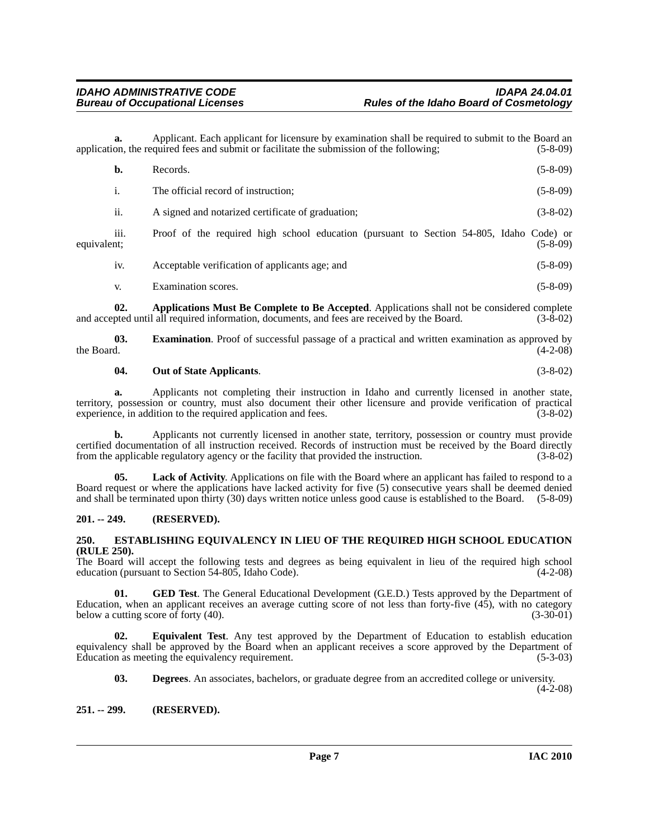**a.** Applicant. Each applicant for licensure by examination shall be required to submit to the Board an application, the required fees and submit or facilitate the submission of the following; (5-8-09)

|             | b.              | Records.                                                                                | $(5-8-09)$ |
|-------------|-----------------|-----------------------------------------------------------------------------------------|------------|
|             | 1.              | The official record of instruction;                                                     | $(5-8-09)$ |
|             | ii.             | A signed and notarized certificate of graduation;                                       | $(3-8-02)$ |
| equivalent; | .<br>111.       | Proof of the required high school education (pursuant to Section 54-805, Idaho Code) or | $(5-8-09)$ |
|             | 1V <sub>1</sub> | Acceptable verification of applicants age; and                                          | $(5-8-09)$ |
|             | V.              | Examination scores.                                                                     | $(5-8-09)$ |

<span id="page-6-3"></span>**02. Applications Must Be Complete to Be Accepted**. Applications shall not be considered complete and accepted until all required information, documents, and fees are received by the Board. (3-8-02)

**03. Examination**. Proof of successful passage of a practical and written examination as approved by the Board. (4-2-08) the Board.  $(4-2-08)$ 

#### <span id="page-6-9"></span><span id="page-6-7"></span>**04. Out of State Applicants**. (3-8-02)

**a.** Applicants not completing their instruction in Idaho and currently licensed in another state, territory, possession or country, must also document their other licensure and provide verification of practical experience, in addition to the required application and fees. (3-8-02) experience, in addition to the required application and fees.

**b.** Applicants not currently licensed in another state, territory, possession or country must provide certified documentation of all instruction received. Records of instruction must be received by the Board directly from the applicable regulatory agency or the facility that provided the instruction. (3-8-02)

**05. Lack of Activity**. Applications on file with the Board where an applicant has failed to respond to a Board request or where the applications have lacked activity for five (5) consecutive years shall be deemed denied and shall be terminated upon thirty (30) days written notice unless good cause is established to the Board. (5-8-09)

#### <span id="page-6-0"></span>**201. -- 249. (RESERVED).**

#### <span id="page-6-6"></span><span id="page-6-1"></span>**250. ESTABLISHING EQUIVALENCY IN LIEU OF THE REQUIRED HIGH SCHOOL EDUCATION (RULE 250).**

The Board will accept the following tests and degrees as being equivalent in lieu of the required high school education (pursuant to Section 54-805, Idaho Code).  $(4-2-08)$ 

<span id="page-6-8"></span>**01.** GED Test. The General Educational Development (G.E.D.) Tests approved by the Department of Education, when an applicant receives an average cutting score of not less than forty-five (45), with no category below a cutting score of forty (40). (3-30-01)

**02. Equivalent Test**. Any test approved by the Department of Education to establish education equivalency shall be approved by the Board when an applicant receives a score approved by the Department of Education as meeting the equivalency requirement. (5-3-03)

<span id="page-6-5"></span><span id="page-6-4"></span>**03. Degrees**. An associates, bachelors, or graduate degree from an accredited college or university.  $(4-2-08)$ 

### <span id="page-6-2"></span>**251. -- 299. (RESERVED).**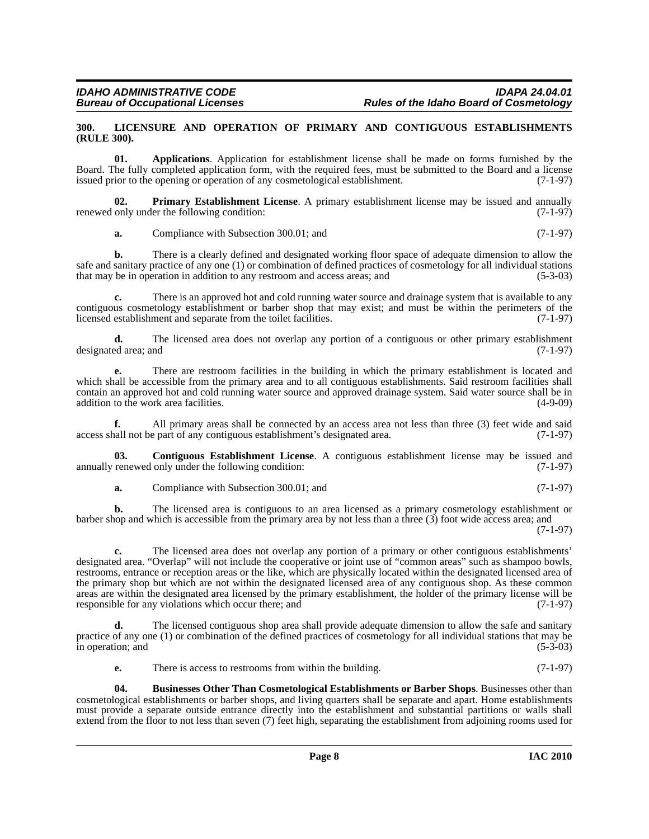#### <span id="page-7-4"></span><span id="page-7-0"></span>**300. LICENSURE AND OPERATION OF PRIMARY AND CONTIGUOUS ESTABLISHMENTS (RULE 300).**

<span id="page-7-1"></span>**01. Applications**. Application for establishment license shall be made on forms furnished by the Board. The fully completed application form, with the required fees, must be submitted to the Board and a license issued prior to the opening or operation of any cosmetological establishment. (7-1-97)

**02. Primary Establishment License**. A primary establishment license may be issued and annually renewed only under the following condition: (7-1-97)

<span id="page-7-5"></span>**a.** Compliance with Subsection 300.01; and (7-1-97)

**b.** There is a clearly defined and designated working floor space of adequate dimension to allow the safe and sanitary practice of any one (1) or combination of defined practices of cosmetology for all individual stations that may be in operation in addition to any restroom and access areas; and (5-3-03)

**c.** There is an approved hot and cold running water source and drainage system that is available to any contiguous cosmetology establishment or barber shop that may exist; and must be within the perimeters of the licensed establishment and separate from the toilet facilities. (7-1-97)

**d.** The licensed area does not overlap any portion of a contiguous or other primary establishment ed area: and (7-1-97) designated area; and

**e.** There are restroom facilities in the building in which the primary establishment is located and which shall be accessible from the primary area and to all contiguous establishments. Said restroom facilities shall contain an approved hot and cold running water source and approved drainage system. Said water source shall be in addition to the work area facilities. (4-9-09)

**f.** All primary areas shall be connected by an access area not less than three (3) feet wide and said access shall not be part of any contiguous establishment's designated area. (7-1-97)

**03. Contiguous Establishment License**. A contiguous establishment license may be issued and annually renewed only under the following condition: (7-1-97)

<span id="page-7-3"></span>**a.** Compliance with Subsection 300.01; and (7-1-97)

**b.** The licensed area is contiguous to an area licensed as a primary cosmetology establishment or barber shop and which is accessible from the primary area by not less than a three (3) foot wide access area; and

(7-1-97)

**c.** The licensed area does not overlap any portion of a primary or other contiguous establishments' designated area. "Overlap" will not include the cooperative or joint use of "common areas" such as shampoo bowls, restrooms, entrance or reception areas or the like, which are physically located within the designated licensed area of the primary shop but which are not within the designated licensed area of any contiguous shop. As these common areas are within the designated area licensed by the primary establishment, the holder of the primary license will be responsible for any violations which occur there: and (7-1-97) responsible for any violations which occur there; and

The licensed contiguous shop area shall provide adequate dimension to allow the safe and sanitary practice of any one (1) or combination of the defined practices of cosmetology for all individual stations that may be in operation; and (5-3-03) in operation; and

<span id="page-7-2"></span>**e.** There is access to restrooms from within the building. (7-1-97)

**04. Businesses Other Than Cosmetological Establishments or Barber Shops**. Businesses other than cosmetological establishments or barber shops, and living quarters shall be separate and apart. Home establishments must provide a separate outside entrance directly into the establishment and substantial partitions or walls shall extend from the floor to not less than seven (7) feet high, separating the establishment from adjoining rooms used for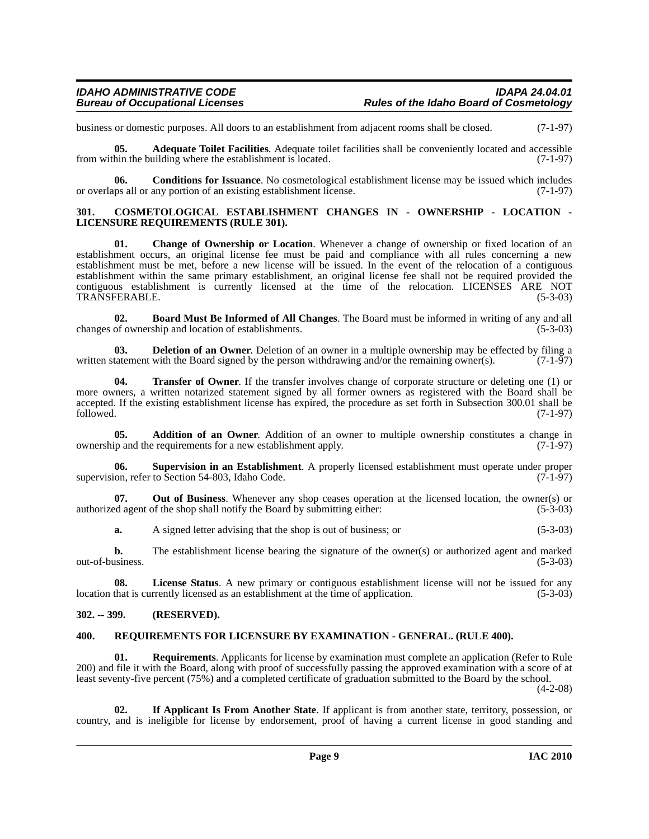business or domestic purposes. All doors to an establishment from adjacent rooms shall be closed. (7-1-97)

<span id="page-8-4"></span>**05. Adequate Toilet Facilities**. Adequate toilet facilities shall be conveniently located and accessible from within the building where the establishment is located. (7-1-97)

<span id="page-8-7"></span>**06.** Conditions for Issuance. No cosmetological establishment license may be issued which includes ups all or any portion of an existing establishment license. (7-1-97) or overlaps all or any portion of an existing establishment license.

#### <span id="page-8-8"></span><span id="page-8-0"></span>**301. COSMETOLOGICAL ESTABLISHMENT CHANGES IN - OWNERSHIP - LOCATION - LICENSURE REQUIREMENTS (RULE 301).**

<span id="page-8-6"></span>**01. Change of Ownership or Location**. Whenever a change of ownership or fixed location of an establishment occurs, an original license fee must be paid and compliance with all rules concerning a new establishment must be met, before a new license will be issued. In the event of the relocation of a contiguous establishment within the same primary establishment, an original license fee shall not be required provided the contiguous establishment is currently licensed at the time of the relocation. LICENSES ARE NOT TRANSFERABLE. (5-3-03) TRANSFERABLE.

<span id="page-8-5"></span>**02. Board Must Be Informed of All Changes**. The Board must be informed in writing of any and all changes of ownership and location of establishments.

<span id="page-8-9"></span>**03. Deletion of an Owner**. Deletion of an owner in a multiple ownership may be effected by filing a tatement with the Board signed by the person withdrawing and/or the remaining owner(s). (7-1-97) written statement with the Board signed by the person withdrawing and/or the remaining owner(s).

<span id="page-8-13"></span>**04. Transfer of Owner**. If the transfer involves change of corporate structure or deleting one (1) or more owners, a written notarized statement signed by all former owners as registered with the Board shall be accepted. If the existing establishment license has expired, the procedure as set forth in Subsection 300.01 shall be followed. (7-1-97) followed. (7-1-97)

<span id="page-8-3"></span>**05. Addition of an Owner**. Addition of an owner to multiple ownership constitutes a change in ip and the requirements for a new establishment apply. (7-1-97) ownership and the requirements for a new establishment apply.

<span id="page-8-12"></span>**06. Supervision in an Establishment**. A properly licensed establishment must operate under proper supervision, refer to Section 54-803, Idaho Code. (7-1-97)

**07. Out of Business**. Whenever any shop ceases operation at the licensed location, the owner(s) or authorized agent of the shop shall notify the Board by submitting either: (5-3-03)

**a.** A signed letter advising that the shop is out of business; or (5-3-03)

**b.** The establishment license bearing the signature of the owner(s) or authorized agent and marked out-of-business. (5-3-03)

**08.** License Status. A new primary or contiguous establishment license will not be issued for any that is currently licensed as an establishment at the time of application. (5-3-03) location that is currently licensed as an establishment at the time of application.

#### <span id="page-8-1"></span>**302. -- 399. (RESERVED).**

#### <span id="page-8-11"></span><span id="page-8-2"></span>**400. REQUIREMENTS FOR LICENSURE BY EXAMINATION - GENERAL. (RULE 400).**

**01. Requirements**. Applicants for license by examination must complete an application (Refer to Rule 200) and file it with the Board, along with proof of successfully passing the approved examination with a score of at least seventy-five percent (75%) and a completed certificate of graduation submitted to the Board by the school.

 $(4-2-08)$ 

<span id="page-8-10"></span>**02. If Applicant Is From Another State**. If applicant is from another state, territory, possession, or country, and is ineligible for license by endorsement, proof of having a current license in good standing and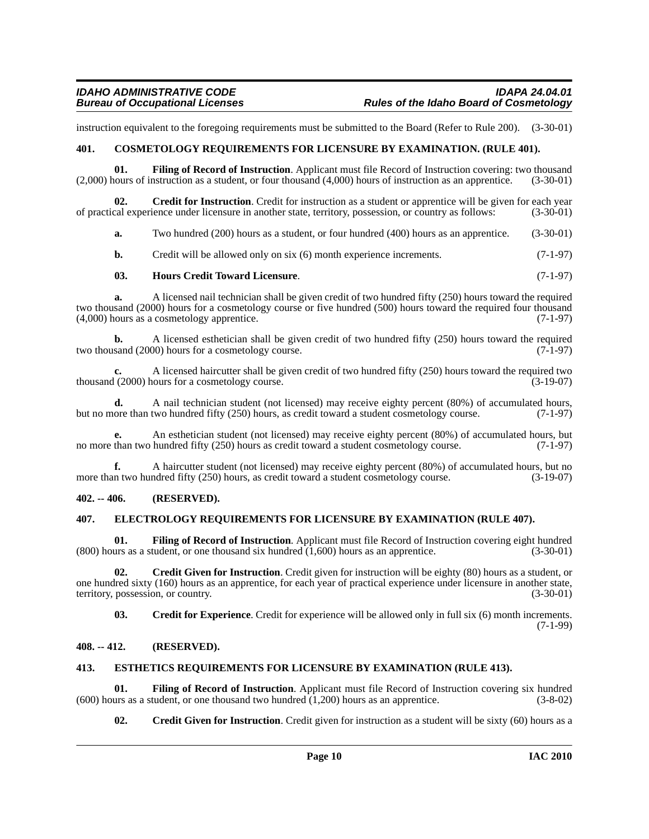instruction equivalent to the foregoing requirements must be submitted to the Board (Refer to Rule 200). (3-30-01)

#### <span id="page-9-5"></span><span id="page-9-0"></span>**401. COSMETOLOGY REQUIREMENTS FOR LICENSURE BY EXAMINATION. (RULE 401).**

<span id="page-9-12"></span>**01. Filing of Record of Instruction**. Applicant must file Record of Instruction covering: two thousand (2,000) hours of instruction as a student, or four thousand (4,000) hours of instruction as an apprentice. (3-30-01)

**Credit for Instruction**. Credit for instruction as a student or apprentice will be given for each year of practical experience under licensure in another state, territory, possession, or country as follows: (3-30-01)

<span id="page-9-7"></span>**a.** Two hundred (200) hours as a student, or four hundred (400) hours as an apprentice. (3-30-01)

**b.** Credit will be allowed only on six (6) month experience increments. (7-1-97)

#### <span id="page-9-15"></span>**03. Hours Credit Toward Licensure**. (7-1-97)

**a.** A licensed nail technician shall be given credit of two hundred fifty (250) hours toward the required two thousand (2000) hours for a cosmetology course or five hundred (500) hours toward the required four thousand (4,000) hours as a cosmetology apprentice. (7-1-97)

**b.** A licensed esthetician shall be given credit of two hundred fifty (250) hours toward the required sand (2000) hours for a cosmetology course. (7-1-97) two thousand (2000) hours for a cosmetology course.

**c.** A licensed haircutter shall be given credit of two hundred fifty (250) hours toward the required two thousand (2000) hours for a cosmetology course. (3-19-07)

**d.** A nail technician student (not licensed) may receive eighty percent (80%) of accumulated hours, ore than two hundred fifty (250) hours, as credit toward a student cosmetology course. (7-1-97) but no more than two hundred fifty (250) hours, as credit toward a student cosmetology course.

An esthetician student (not licensed) may receive eighty percent (80%) of accumulated hours, but hundred fifty (250) hours as credit toward a student cosmetology course. (7-1-97) no more than two hundred fifty (250) hours as credit toward a student cosmetology course.

**f.** A haircutter student (not licensed) may receive eighty percent (80%) of accumulated hours, but no more than two hundred fifty (250) hours, as credit toward a student cosmetology course. (3-19-07)

#### <span id="page-9-1"></span>**402. -- 406. (RESERVED).**

#### <span id="page-9-10"></span><span id="page-9-2"></span>**407. ELECTROLOGY REQUIREMENTS FOR LICENSURE BY EXAMINATION (RULE 407).**

<span id="page-9-13"></span>**01. Filing of Record of Instruction**. Applicant must file Record of Instruction covering eight hundred  $(800)$  hours as a student, or one thousand six hundred  $(1,600)$  hours as an apprentice.  $(3-30-01)$ 

**02. Credit Given for Instruction**. Credit given for instruction will be eighty (80) hours as a student, or one hundred sixty (160) hours as an apprentice, for each year of practical experience under licensure in another state, territory, possession, or country. (3-30-01)

<span id="page-9-8"></span><span id="page-9-6"></span>**03. Credit for Experience**. Credit for experience will be allowed only in full six (6) month increments. (7-1-99)

#### <span id="page-9-3"></span>**408. -- 412. (RESERVED).**

#### <span id="page-9-11"></span><span id="page-9-4"></span>**413. ESTHETICS REQUIREMENTS FOR LICENSURE BY EXAMINATION (RULE 413).**

**01.** Filing of Record of Instruction. Applicant must file Record of Instruction covering six hundred (using as a student, or one thousand two hundred (1,200) hours as an apprentice. (3-8-02) (600) hours as a student, or one thousand two hundred  $(1,200)$  hours as an apprentice.

<span id="page-9-14"></span><span id="page-9-9"></span>**02.** Credit Given for Instruction. Credit given for instruction as a student will be sixty (60) hours as a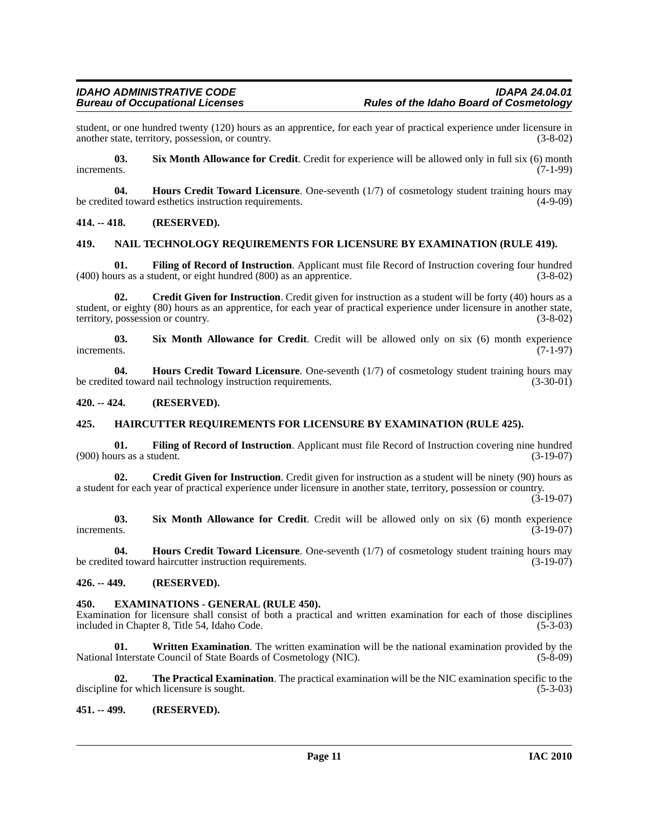student, or one hundred twenty (120) hours as an apprentice, for each year of practical experience under licensure in another state, territory, possession, or country. (3-8-02) another state, territory, possession, or country.

<span id="page-10-12"></span>**03. Six Month Allowance for Credit**. Credit for experience will be allowed only in full six (6) month increments. (7-1-99)

**04. Hours Credit Toward Licensure**. One-seventh (1/7) of cosmetology student training hours may ed toward esthetics instruction requirements. (4-9-09) be credited toward esthetics instruction requirements.

#### <span id="page-10-0"></span>**414. -- 418. (RESERVED).**

#### <span id="page-10-11"></span><span id="page-10-1"></span>**419. NAIL TECHNOLOGY REQUIREMENTS FOR LICENSURE BY EXAMINATION (RULE 419).**

<span id="page-10-9"></span>**01. Filing of Record of Instruction**. Applicant must file Record of Instruction covering four hundred (400) hours as a student, or eight hundred (800) as an apprentice. (3-8-02)

<span id="page-10-7"></span>**02. Credit Given for Instruction**. Credit given for instruction as a student will be forty (40) hours as a student, or eighty (80) hours as an apprentice, for each year of practical experience under licensure in another state, territory, possession or country. (3-8-02)

<span id="page-10-13"></span>**03.** Six Month Allowance for Credit. Credit will be allowed only on six (6) month experience increments. (7-1-97) increments.  $(7-1-97)$ 

<span id="page-10-10"></span>**04. Hours Credit Toward Licensure**. One-seventh (1/7) of cosmetology student training hours may be credited toward nail technology instruction requirements. (3-30-01)

#### <span id="page-10-2"></span>**420. -- 424. (RESERVED).**

#### <span id="page-10-3"></span>**425. HAIRCUTTER REQUIREMENTS FOR LICENSURE BY EXAMINATION (RULE 425).**

**01. Filing of Record of Instruction**. Applicant must file Record of Instruction covering nine hundred  $(900)$  hours as a student.  $(3-19-07)$ 

**02.** Credit Given for Instruction. Credit given for instruction as a student will be ninety (90) hours as a student for each year of practical experience under licensure in another state, territory, possession or country.

(3-19-07)

**03. Six Month Allowance for Credit**. Credit will be allowed only on six (6) month experience increments.  $(3-19-07)$ 

**04. Hours Credit Toward Licensure**. One-seventh (1/7) of cosmetology student training hours may be credited toward haircutter instruction requirements. (3-19-07)

#### <span id="page-10-4"></span>**426. -- 449. (RESERVED).**

#### <span id="page-10-8"></span><span id="page-10-5"></span>**450. EXAMINATIONS - GENERAL (RULE 450).**

Examination for licensure shall consist of both a practical and written examination for each of those disciplines included in Chapter 8, Title 54, Idaho Code. (5-3-03)

<span id="page-10-15"></span>**01. Written Examination**. The written examination will be the national examination provided by the National Interstate Council of State Boards of Cosmetology (NIC). (5-8-09)

<span id="page-10-14"></span>**02. The Practical Examination**. The practical examination will be the NIC examination specific to the discipline for which licensure is sought. (5-3-03)

#### <span id="page-10-6"></span>**451. -- 499. (RESERVED).**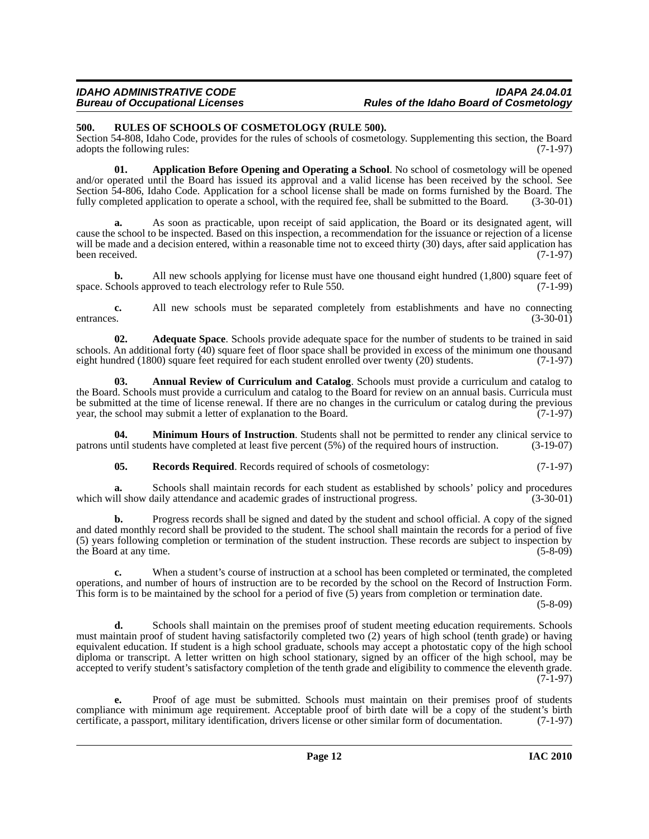#### *IDAHO ADMINISTRATIVE CODE IDAPA 24.04.01* **Rules of the Idaho Board of Cosmetology**

#### <span id="page-11-6"></span><span id="page-11-0"></span>**500. RULES OF SCHOOLS OF COSMETOLOGY (RULE 500).**

Section 54-808, Idaho Code, provides for the rules of schools of cosmetology. Supplementing this section, the Board adopts the following rules: (7-1-97)

<span id="page-11-3"></span>**01. Application Before Opening and Operating a School**. No school of cosmetology will be opened and/or operated until the Board has issued its approval and a valid license has been received by the school. See Section 54-806, Idaho Code. Application for a school license shall be made on forms furnished by the Board. The fully completed application to operate a school, with the required fee, shall be submitted to the Board. (3-30-01)

**a.** As soon as practicable, upon receipt of said application, the Board or its designated agent, will cause the school to be inspected. Based on this inspection, a recommendation for the issuance or rejection of a license will be made and a decision entered, within a reasonable time not to exceed thirty (30) days, after said application has been received.  $(7-1-97)$ been received.

**b.** All new schools applying for license must have one thousand eight hundred (1,800) square feet of chools approved to teach electrology refer to Rule 550. (7-1-99) space. Schools approved to teach electrology refer to Rule 550.

**c.** All new schools must be separated completely from establishments and have no connecting entrances. (3-30-01)

<span id="page-11-1"></span>**02. Adequate Space**. Schools provide adequate space for the number of students to be trained in said schools. An additional forty (40) square feet of floor space shall be provided in excess of the minimum one thousand eight hundred (1800) square feet required for each student enrolled over twenty (20) students. (7-1-97) eight hundred (1800) square feet required for each student enrolled over twenty (20) students.

<span id="page-11-2"></span>**03. Annual Review of Curriculum and Catalog**. Schools must provide a curriculum and catalog to the Board. Schools must provide a curriculum and catalog to the Board for review on an annual basis. Curricula must be submitted at the time of license renewal. If there are no changes in the curriculum or catalog during the previous year, the school may submit a letter of explanation to the Board. (7-1-97) year, the school may submit a letter of explanation to the Board.

**04. Minimum Hours of Instruction**. Students shall not be permitted to render any clinical service to patrons until students have completed at least five percent (5%) of the required hours of instruction. (3-19-07)

<span id="page-11-5"></span><span id="page-11-4"></span>**05. Records Required**. Records required of schools of cosmetology: (7-1-97)

**a.** Schools shall maintain records for each student as established by schools' policy and procedures which will show daily attendance and academic grades of instructional progress. (3-30-01)

**b.** Progress records shall be signed and dated by the student and school official. A copy of the signed and dated monthly record shall be provided to the student. The school shall maintain the records for a period of five (5) years following completion or termination of the student instruction. These records are subject to inspection by the Board at any time. (5-8-09)

**c.** When a student's course of instruction at a school has been completed or terminated, the completed operations, and number of hours of instruction are to be recorded by the school on the Record of Instruction Form. This form is to be maintained by the school for a period of five (5) years from completion or termination date.

(5-8-09)

**d.** Schools shall maintain on the premises proof of student meeting education requirements. Schools must maintain proof of student having satisfactorily completed two (2) years of high school (tenth grade) or having equivalent education. If student is a high school graduate, schools may accept a photostatic copy of the high school diploma or transcript. A letter written on high school stationary, signed by an officer of the high school, may be accepted to verify student's satisfactory completion of the tenth grade and eligibility to commence the eleventh grade. (7-1-97)

**e.** Proof of age must be submitted. Schools must maintain on their premises proof of students compliance with minimum age requirement. Acceptable proof of birth date will be a copy of the student's birth certificate, a passport, military identification, drivers license or other similar form of documentation. (7-1-97)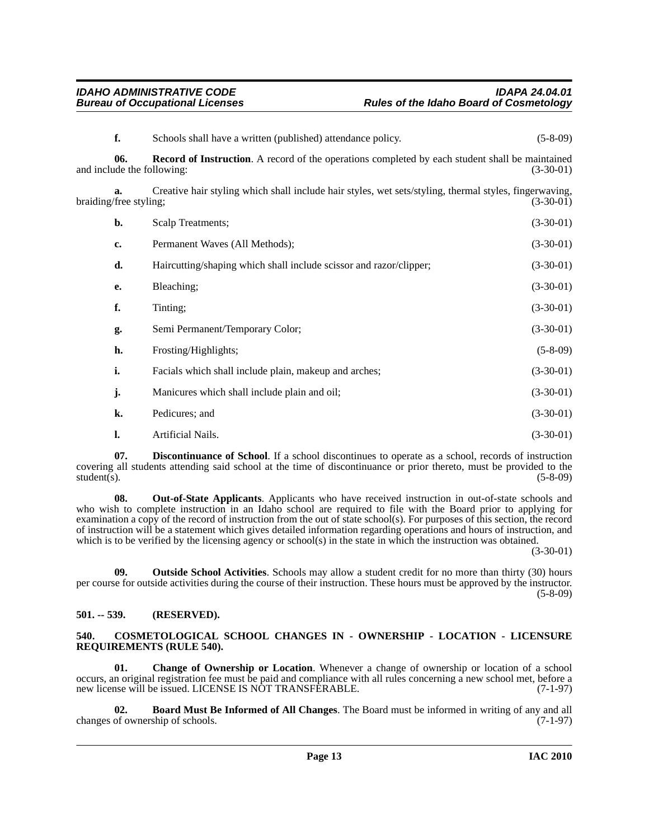<span id="page-12-8"></span>

| f.                                    | Schools shall have a written (published) attendance policy.                                                                          | $(5-8-09)$  |
|---------------------------------------|--------------------------------------------------------------------------------------------------------------------------------------|-------------|
| 06.                                   | <b>Record of Instruction.</b> A record of the operations completed by each student shall be maintained<br>and include the following: | $(3-30-01)$ |
| $a_{\cdot}$<br>braiding/free styling; | Creative hair styling which shall include hair styles, wet sets/styling, thermal styles, fingerwaving,                               | $(3-30-01)$ |
| b.                                    | Scalp Treatments;                                                                                                                    | $(3-30-01)$ |
| c.                                    | Permanent Waves (All Methods);                                                                                                       | $(3-30-01)$ |
| d.                                    | Haircutting/shaping which shall include scissor and razor/clipper;                                                                   | $(3-30-01)$ |
| е.                                    | Bleaching;                                                                                                                           | $(3-30-01)$ |
| f.                                    | Tinting;                                                                                                                             | $(3-30-01)$ |
| g.                                    | Semi Permanent/Temporary Color;                                                                                                      | $(3-30-01)$ |
| h.                                    | Frosting/Highlights;                                                                                                                 | $(5-8-09)$  |
| i.                                    | Facials which shall include plain, makeup and arches;                                                                                | $(3-30-01)$ |
| j.                                    | Manicures which shall include plain and oil;                                                                                         | $(3-30-01)$ |
| k.                                    | Pedicures; and                                                                                                                       | $(3-30-01)$ |
| l.                                    | Artificial Nails.                                                                                                                    | $(3-30-01)$ |
|                                       |                                                                                                                                      |             |

<span id="page-12-5"></span>**07. Discontinuance of School**. If a school discontinues to operate as a school, records of instruction covering all students attending said school at the time of discontinuance or prior thereto, must be provided to the student(s). (5-8-09)  $student(s)$ . (5-8-09)

<span id="page-12-6"></span>**08. Out-of-State Applicants**. Applicants who have received instruction in out-of-state schools and who wish to complete instruction in an Idaho school are required to file with the Board prior to applying for examination a copy of the record of instruction from the out of state school(s). For purposes of this section, the record of instruction will be a statement which gives detailed information regarding operations and hours of instruction, and which is to be verified by the licensing agency or school(s) in the state in which the instruction was obtained.

(3-30-01)

<span id="page-12-7"></span>**09. Outside School Activities**. Schools may allow a student credit for no more than thirty (30) hours per course for outside activities during the course of their instruction. These hours must be approved by the instructor. (5-8-09)

### <span id="page-12-0"></span>**501. -- 539. (RESERVED).**

#### <span id="page-12-4"></span><span id="page-12-1"></span>**540. COSMETOLOGICAL SCHOOL CHANGES IN - OWNERSHIP - LOCATION - LICENSURE REQUIREMENTS (RULE 540).**

<span id="page-12-3"></span>**01. Change of Ownership or Location**. Whenever a change of ownership or location of a school occurs, an original registration fee must be paid and compliance with all rules concerning a new school met, before a new license will be issued. LICENSE IS NOT TRANSFERABLE. (7-1-97)

<span id="page-12-2"></span>**02. Board Must Be Informed of All Changes**. The Board must be informed in writing of any and all changes of ownership of schools. (7-1-97)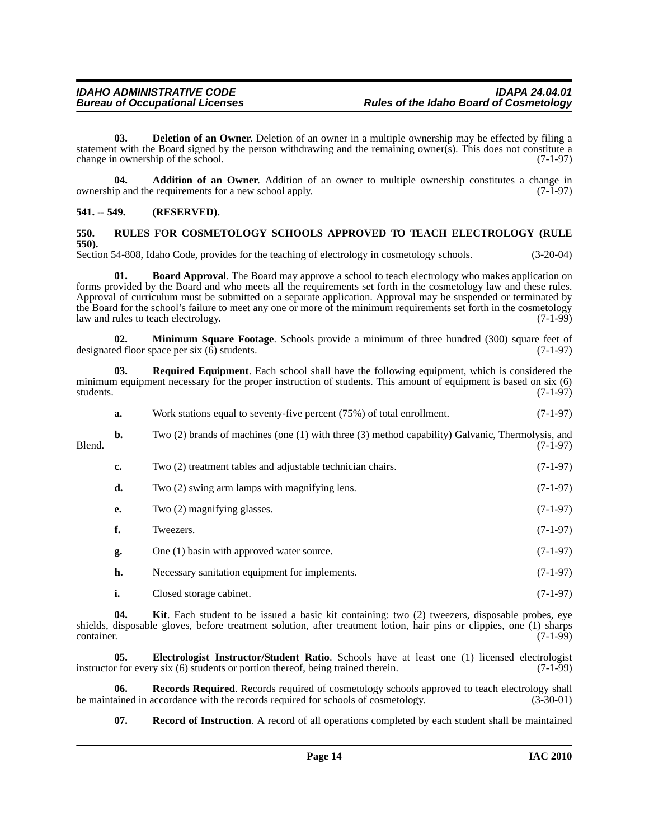<span id="page-13-4"></span>**03. Deletion of an Owner**. Deletion of an owner in a multiple ownership may be effected by filing a statement with the Board signed by the person withdrawing and the remaining owner(s). This does not constitute a change in ownership of the school. (7-1-97)

<span id="page-13-2"></span>**04. Addition of an Owner**. Addition of an owner to multiple ownership constitutes a change in in and the requirements for a new school apply. (7-1-97) ownership and the requirements for a new school apply.

#### <span id="page-13-0"></span>**541. -- 549. (RESERVED).**

#### <span id="page-13-11"></span><span id="page-13-1"></span>**550. RULES FOR COSMETOLOGY SCHOOLS APPROVED TO TEACH ELECTROLOGY (RULE 550).**

Section 54-808, Idaho Code, provides for the teaching of electrology in cosmetology schools. (3-20-04)

<span id="page-13-3"></span>**01. Board Approval**. The Board may approve a school to teach electrology who makes application on forms provided by the Board and who meets all the requirements set forth in the cosmetology law and these rules. Approval of curriculum must be submitted on a separate application. Approval may be suspended or terminated by the Board for the school's failure to meet any one or more of the minimum requirements set forth in the cosmetology law and rules to teach electrology. (7-1-99)

<span id="page-13-7"></span>**02. Minimum Square Footage**. Schools provide a minimum of three hundred (300) square feet of ed floor space per six (6) students. designated floor space per six  $(\bar{6})$  students.

**03. Required Equipment**. Each school shall have the following equipment, which is considered the minimum equipment necessary for the proper instruction of students. This amount of equipment is based on six (6) students. (7-1-97) students. (7-1-97)

<span id="page-13-10"></span>

| а. | Work stations equal to seventy-five percent (75%) of total enrollment. | $(7-1-97)$ |
|----|------------------------------------------------------------------------|------------|
|    |                                                                        |            |

**b.** Two (2) brands of machines (one (1) with three (3) method capability) Galvanic, Thermolysis, and (7-1-97) Blend. (7-1-97)

- **c.** Two (2) treatment tables and adjustable technician chairs. (7-1-97) **d.** Two (2) swing arm lamps with magnifying lens. (7-1-97)
- **e.** Two (2) magnifying glasses. (7-1-97)
- **f.** Tweezers. (7-1-97) **g.** One (1) basin with approved water source. (7-1-97)
- **h.** Necessary sanitation equipment for implements. (7-1-97)
- <span id="page-13-6"></span><span id="page-13-5"></span>**i.** Closed storage cabinet. (7-1-97)

**04. Kit**. Each student to be issued a basic kit containing: two (2) tweezers, disposable probes, eye shields, disposable gloves, before treatment solution, after treatment lotion, hair pins or clippies, one (1) sharps container. (7-1-99)  $\frac{1}{(7-1-99)}$ 

**05. Electrologist Instructor/Student Ratio**. Schools have at least one (1) licensed electrologist instructor for every six (6) students or portion thereof, being trained therein. (7-1-99)

**06.** Records Required. Records required of cosmetology schools approved to teach electrology shall ained in accordance with the records required for schools of cosmetology. (3-30-01) be maintained in accordance with the records required for schools of cosmetology.

<span id="page-13-9"></span><span id="page-13-8"></span>**07. Record of Instruction**. A record of all operations completed by each student shall be maintained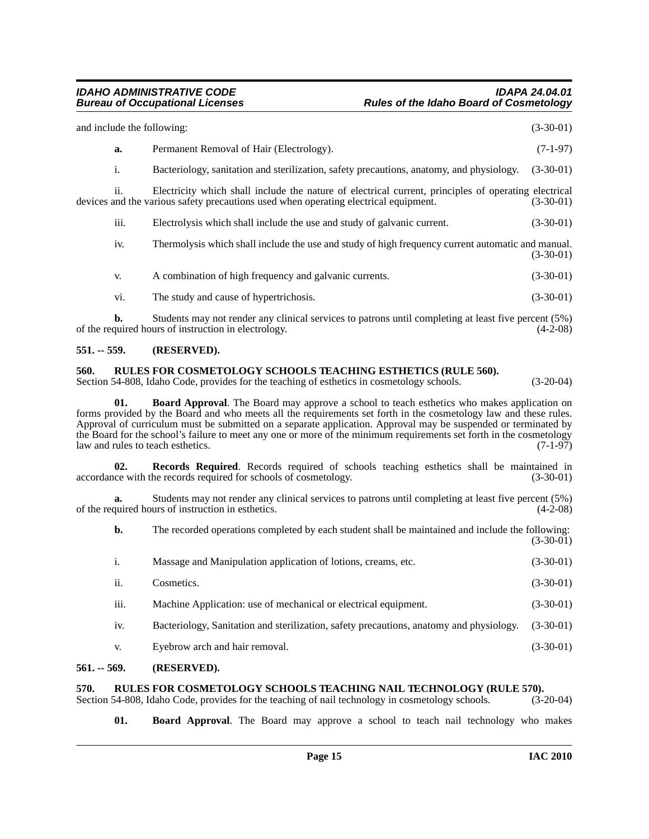| 551. -- 559. |                            | (RESERVED).                                                                                                                                                                                  |             |
|--------------|----------------------------|----------------------------------------------------------------------------------------------------------------------------------------------------------------------------------------------|-------------|
|              | b.                         | Students may not render any clinical services to patrons until completing at least five percent (5%)<br>of the required hours of instruction in electrology.                                 | $(4-2-08)$  |
|              | vi.                        | The study and cause of hypertrichosis.                                                                                                                                                       | $(3-30-01)$ |
|              | V.                         | A combination of high frequency and galvanic currents.                                                                                                                                       | $(3-30-01)$ |
|              | iv.                        | Thermolysis which shall include the use and study of high frequency current automatic and manual.                                                                                            | $(3-30-01)$ |
|              | iii.                       | Electrolysis which shall include the use and study of galvanic current.                                                                                                                      | $(3-30-01)$ |
|              | <i>ii.</i>                 | Electricity which shall include the nature of electrical current, principles of operating electrical<br>devices and the various safety precautions used when operating electrical equipment. | $(3-30-01)$ |
|              | $\mathbf{i}$ .             | Bacteriology, sanitation and sterilization, safety precautions, anatomy, and physiology.                                                                                                     | $(3-30-01)$ |
|              | a.                         | Permanent Removal of Hair (Electrology).                                                                                                                                                     | $(7-1-97)$  |
|              | and include the following: |                                                                                                                                                                                              | $(3-30-01)$ |

#### <span id="page-14-7"></span><span id="page-14-1"></span><span id="page-14-0"></span>**560. RULES FOR COSMETOLOGY SCHOOLS TEACHING ESTHETICS (RULE 560).**

Section 54-808, Idaho Code, provides for the teaching of esthetics in cosmetology schools. (3-20-04)

<span id="page-14-4"></span>**01. Board Approval**. The Board may approve a school to teach esthetics who makes application on forms provided by the Board and who meets all the requirements set forth in the cosmetology law and these rules. Approval of curriculum must be submitted on a separate application. Approval may be suspended or terminated by the Board for the school's failure to meet any one or more of the minimum requirements set forth in the cosmetology<br>law and rules to teach esthetics. (7-1-97) law and rules to teach esthetics.

<span id="page-14-6"></span>**02. Records Required**. Records required of schools teaching esthetics shall be maintained in accordance with the records required for schools of cosmetology. (3-30-01)

**a.** Students may not render any clinical services to patrons until completing at least five percent (5%) quired hours of instruction in esthetics. of the required hours of instruction in esthetics.

**b.** The recorded operations completed by each student shall be maintained and include the following:  $(3-30-01)$ 

| <sup>1.</sup> | Massage and Manipulation application of lotions, creams, etc.                           | $(3-30-01)$ |
|---------------|-----------------------------------------------------------------------------------------|-------------|
| ii.           | Cosmetics.                                                                              | $(3-30-01)$ |
| iii.          | Machine Application: use of mechanical or electrical equipment.                         | $(3-30-01)$ |
| iv.           | Bacteriology, Sanitation and sterilization, safety precautions, anatomy and physiology. | $(3-30-01)$ |
| V.            | Eyebrow arch and hair removal.                                                          | $(3-30-01)$ |

#### <span id="page-14-2"></span>**561. -- 569. (RESERVED).**

## <span id="page-14-8"></span><span id="page-14-3"></span>**570.** RULES FOR COSMETOLOGY SCHOOLS TEACHING NAIL TECHNOLOGY (RULE 570). Section 54-808, Idaho Code, provides for the teaching of nail technology in cosmetology schools. (3-20-04)

Section 54-808, Idaho Code, provides for the teaching of nail technology in cosmetology schools.

<span id="page-14-5"></span>**01. Board Approval**. The Board may approve a school to teach nail technology who makes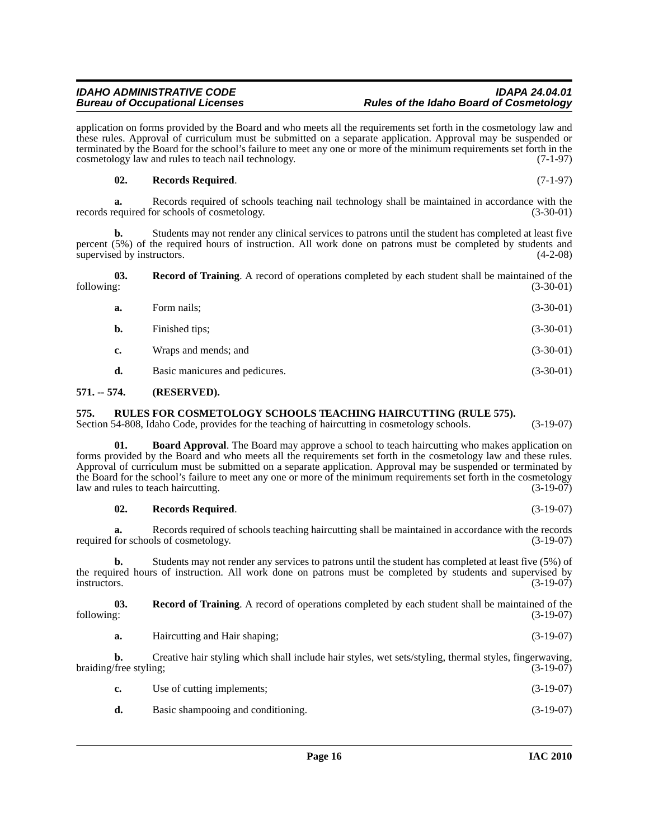application on forms provided by the Board and who meets all the requirements set forth in the cosmetology law and these rules. Approval of curriculum must be submitted on a separate application. Approval may be suspended or terminated by the Board for the school's failure to meet any one or more of the minimum requirements set forth in the cosmetology law and rules to teach nail technology. (7-1-97)

#### <span id="page-15-3"></span>**02. Records Required**. (7-1-97)

**a.** Records required of schools teaching nail technology shall be maintained in accordance with the records required for schools of cosmetology. (3-30-01)

**b.** Students may not render any clinical services to patrons until the student has completed at least five percent (5%) of the required hours of instruction. All work done on patrons must be completed by students and supervised by instructors. (4-2-08) supervised by instructors.

| following: |             | <b>Record of Training.</b> A record of operations completed by each student shall be maintained of the<br>$(3-30-01)$ |
|------------|-------------|-----------------------------------------------------------------------------------------------------------------------|
|            | Form nails: | $(3-30-01)$                                                                                                           |

<span id="page-15-2"></span>

| b. | Finished tips;                | $(3-30-01)$ |
|----|-------------------------------|-------------|
| c. | Wraps and mends; and          | $(3-30-01)$ |
|    | $\overline{\phantom{a}}$<br>. | .           |

### **d.** Basic manicures and pedicures. (3-30-01)

### <span id="page-15-0"></span>**571. -- 574. (RESERVED).**

#### <span id="page-15-1"></span>**575. RULES FOR COSMETOLOGY SCHOOLS TEACHING HAIRCUTTING (RULE 575).**

Section 54-808, Idaho Code, provides for the teaching of haircutting in cosmetology schools. (3-19-07)

**01. Board Approval**. The Board may approve a school to teach haircutting who makes application on forms provided by the Board and who meets all the requirements set forth in the cosmetology law and these rules. Approval of curriculum must be submitted on a separate application. Approval may be suspended or terminated by the Board for the school's failure to meet any one or more of the minimum requirements set forth in the cosmetology<br>aw and rules to teach haircutting. (3-19-07) law and rules to teach haircutting.

#### **02. Records Required**. (3-19-07)

**a.** Records required of schools teaching haircutting shall be maintained in accordance with the records for schools of cosmetology. (3-19-07) required for schools of cosmetology.

**b.** Students may not render any services to patrons until the student has completed at least five (5%) of the required hours of instruction. All work done on patrons must be completed by students and supervised by instructors. (3-19-07) instructors.  $(3-19-07)$ 

**03. Record of Training**. A record of operations completed by each student shall be maintained of the following: (3-19-07)

**a.** Haircutting and Hair shaping; (3-19-07)

**b.** Creative hair styling which shall include hair styles, wet sets/styling, thermal styles, fingerwaving, braiding/free styling; (3-19-07) (3-19-07)

| Use of cutting implements; | $(3-19-07)$ |
|----------------------------|-------------|
| __                         |             |

**d.** Basic shampooing and conditioning. (3-19-07)

**Rules of the Idaho Board of Cosmetology**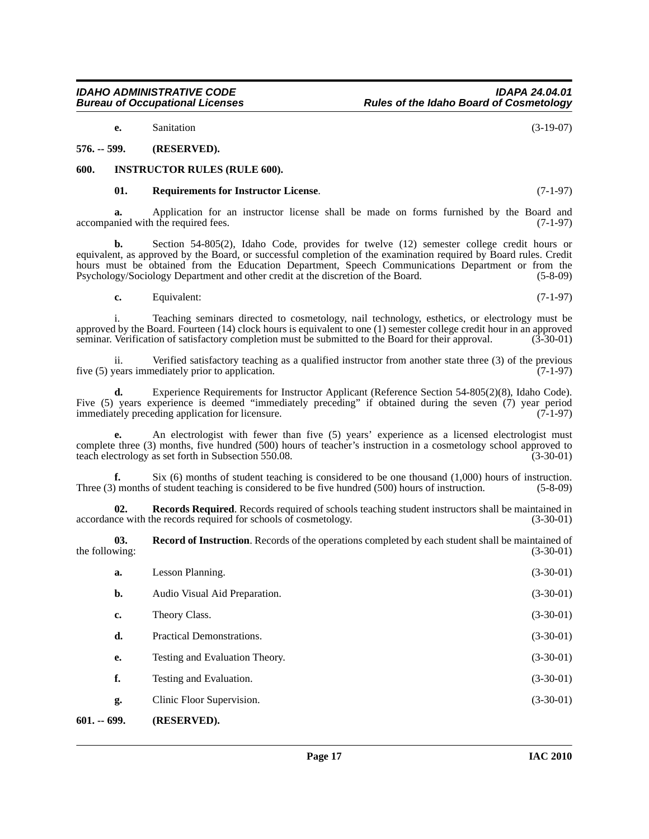**e.** Sanitation (3-19-07)

#### <span id="page-16-0"></span>**576. -- 599. (RESERVED).**

#### <span id="page-16-1"></span>**600. INSTRUCTOR RULES (RULE 600).**

#### <span id="page-16-5"></span><span id="page-16-3"></span>**01. Requirements for Instructor License**. (7-1-97)

**a.** Application for an instructor license shall be made on forms furnished by the Board and accompanied with the required fees. (7-1-97)

**b.** Section 54-805(2), Idaho Code, provides for twelve (12) semester college credit hours or equivalent, as approved by the Board, or successful completion of the examination required by Board rules. Credit hours must be obtained from the Education Department, Speech Communications Department or from the Psychology/Sociology Department and other credit at the discretion of the Board. (5-8-09)

**c.** Equivalent: (7-1-97)

i. Teaching seminars directed to cosmetology, nail technology, esthetics, or electrology must be approved by the Board. Fourteen (14) clock hours is equivalent to one (1) semester college credit hour in an approved seminar. Verification of satisfactory completion must be submitted to the Board for their approval. (3-30-01)

ii. Verified satisfactory teaching as a qualified instructor from another state three (3) of the previous five (5) years immediately prior to application. (7-1-97)

**d.** Experience Requirements for Instructor Applicant (Reference Section 54-805(2)(8), Idaho Code). Five (5) years experience is deemed "immediately preceding" if obtained during the seven (7) year period immediately preceding application for licensure. (7-1-97)

**e.** An electrologist with fewer than five (5) years' experience as a licensed electrologist must complete three (3) months, five hundred (500) hours of teacher's instruction in a cosmetology school approved to teach electrology as set forth in Subsection 550.08. (3-30-01)

**f.** Six (6) months of student teaching is considered to be one thousand (1,000) hours of instruction.<br>(5-8-09) months of student teaching is considered to be five hundred (500) hours of instruction. Three  $(3)$  months of student teaching is considered to be five hundred  $(500)$  hours of instruction.

**02. Records Required**. Records required of schools teaching student instructors shall be maintained in accordance with the records required for schools of cosmetology. (3-30-01)

<span id="page-16-4"></span>**03. Record of Instruction**. Records of the operations completed by each student shall be maintained of the following:  $(3-30-01)$ 

<span id="page-16-2"></span>

| $601. - 699.$ | (RESERVED).                    |             |
|---------------|--------------------------------|-------------|
| g.            | Clinic Floor Supervision.      | $(3-30-01)$ |
| f.            | Testing and Evaluation.        | $(3-30-01)$ |
| e.            | Testing and Evaluation Theory. | $(3-30-01)$ |
| d.            | Practical Demonstrations.      | $(3-30-01)$ |
| c.            | Theory Class.                  | $(3-30-01)$ |
| b.            | Audio Visual Aid Preparation.  | $(3-30-01)$ |
| a.            | Lesson Planning.               | $(3-30-01)$ |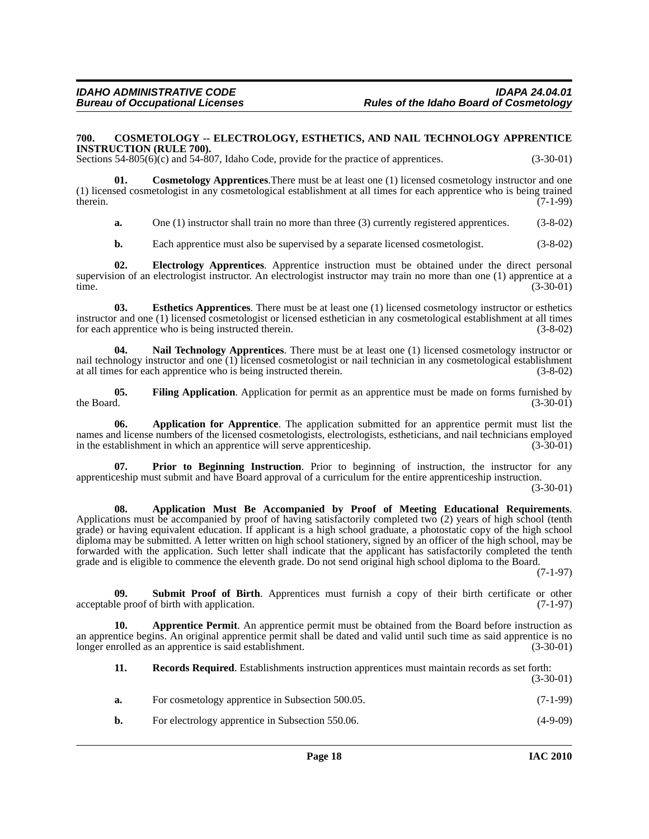#### <span id="page-17-4"></span><span id="page-17-0"></span>**700. COSMETOLOGY -- ELECTROLOGY, ESTHETICS, AND NAIL TECHNOLOGY APPRENTICE INSTRUCTION (RULE 700).**

Sections 54-805(6)(c) and 54-807, Idaho Code, provide for the practice of apprentices. (3-30-01)

**01. Cosmetology Apprentices**.There must be at least one (1) licensed cosmetology instructor and one (1) licensed cosmetologist in any cosmetological establishment at all times for each apprentice who is being trained therein.  $(7-1-99)$ therein.  $(7-1-99)$ 

<span id="page-17-5"></span>**a.** One (1) instructor shall train no more than three (3) currently registered apprentices. (3-8-02)

<span id="page-17-7"></span><span id="page-17-6"></span>**b.** Each apprentice must also be supervised by a separate licensed cosmetologist. (3-8-02)

**02. Electrology Apprentices**. Apprentice instruction must be obtained under the direct personal supervision of an electrologist instructor. An electrologist instructor may train no more than one (1) apprentice at a time. (3-30-01) time. (3-30-01)

**03. Esthetics Apprentices**. There must be at least one (1) licensed cosmetology instructor or esthetics instructor and one (1) licensed cosmetologist or licensed esthetician in any cosmetological establishment at all times for each apprentice who is being instructed therein. (3-8-02)

<span id="page-17-9"></span>**04. Nail Technology Apprentices**. There must be at least one (1) licensed cosmetology instructor or nail technology instructor and one (1) licensed cosmetologist or nail technician in any cosmetological establishment at all times for each apprentice who is being instructed therein. (3-8-02)

<span id="page-17-8"></span>**05. Filing Application**. Application for permit as an apprentice must be made on forms furnished by the Board.  $(3-30-01)$ 

<span id="page-17-1"></span>**06. Application for Apprentice**. The application submitted for an apprentice permit must list the names and license numbers of the licensed cosmetologists, electrologists, estheticians, and nail technicians employed<br>in the establishment in which an apprentice will serve apprenticeship. (3-30-01) in the establishment in which an apprentice will serve apprenticeship.

<span id="page-17-10"></span>**Prior to Beginning Instruction**. Prior to beginning of instruction, the instructor for any apprenticeship must submit and have Board approval of a curriculum for the entire apprenticeship instruction. (3-30-01)

<span id="page-17-2"></span>**08. Application Must Be Accompanied by Proof of Meeting Educational Requirements**. Applications must be accompanied by proof of having satisfactorily completed two (2) years of high school (tenth grade) or having equivalent education. If applicant is a high school graduate, a photostatic copy of the high school diploma may be submitted. A letter written on high school stationery, signed by an officer of the high school, may be forwarded with the application. Such letter shall indicate that the applicant has satisfactorily completed the tenth grade and is eligible to commence the eleventh grade. Do not send original high school diploma to the Board.

(7-1-97)

<span id="page-17-12"></span>**09.** Submit Proof of Birth. Apprentices must furnish a copy of their birth certificate or other le proof of birth with application. (7-1-97) acceptable proof of birth with application.

**10. Apprentice Permit**. An apprentice permit must be obtained from the Board before instruction as an apprentice begins. An original apprentice permit shall be dated and valid until such time as said apprentice is no longer enrolled as an apprentice is said establishment. (3-30-01) longer enrolled as an apprentice is said establishment.

<span id="page-17-11"></span><span id="page-17-3"></span>

| 11. | <b>Records Required.</b> Establishments instruction apprentices must maintain records as set forth:<br>$(3-30-01)$ |            |
|-----|--------------------------------------------------------------------------------------------------------------------|------------|
| а.  | For cosmetology apprentice in Subsection 500.05.                                                                   | $(7-1-99)$ |
| b.  | For electrology apprentice in Subsection 550.06.                                                                   | $(4-9-09)$ |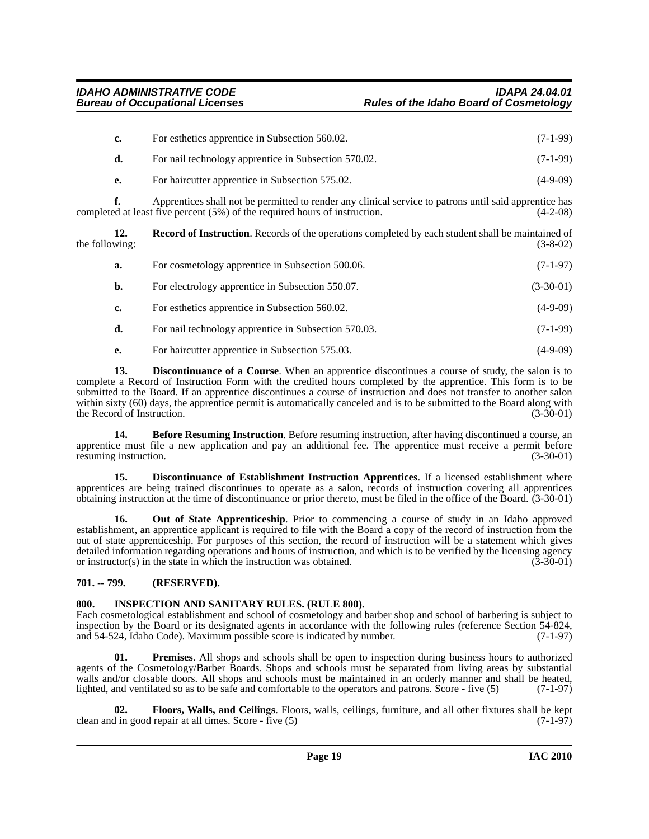| c. | For esthetics apprentice in Subsection 560.02.       | $(7-1-99)$ |
|----|------------------------------------------------------|------------|
| d. | For nail technology apprentice in Subsection 570.02. | $(7-1-99)$ |
| е. | For haircutter apprentice in Subsection 575.02.      | $(4-9-09)$ |

**f.** Apprentices shall not be permitted to render any clinical service to patrons until said apprentice has completed at least five percent (5%) of the required hours of instruction. (4-2-08)

**12. Record of Instruction**. Records of the operations completed by each student shall be maintained of the following: (3-8-02) (3-8-02)

<span id="page-18-9"></span>

| а. | For cosmetology apprentice in Subsection 500.06.     | $(7-1-97)$  |
|----|------------------------------------------------------|-------------|
| b. | For electrology apprentice in Subsection 550.07.     | $(3-30-01)$ |
| c. | For esthetics apprentice in Subsection 560.02.       | $(4-9-09)$  |
| d. | For nail technology apprentice in Subsection 570.03. | $(7-1-99)$  |
| e. | For haircutter apprentice in Subsection 575.03.      | (4-9-09)    |

<span id="page-18-3"></span>**13. Discontinuance of a Course**. When an apprentice discontinues a course of study, the salon is to complete a Record of Instruction Form with the credited hours completed by the apprentice. This form is to be submitted to the Board. If an apprentice discontinues a course of instruction and does not transfer to another salon within sixty (60) days, the apprentice permit is automatically canceled and is to be submitted to the Board along with the Record of Instruction. (3-30-01) the Record of Instruction.

<span id="page-18-2"></span>**14. Before Resuming Instruction**. Before resuming instruction, after having discontinued a course, an apprentice must file a new application and pay an additional fee. The apprentice must receive a permit before resuming instruction. The contract of the contract of the contract of the contract of the contract of the contract of the contract of the contract of the contract of the contract of the contract of the contract of the cont

<span id="page-18-4"></span>**15. Discontinuance of Establishment Instruction Apprentices**. If a licensed establishment where apprentices are being trained discontinues to operate as a salon, records of instruction covering all apprentices obtaining instruction at the time of discontinuance or prior thereto, must be filed in the office of the Board. (3-30-01)

<span id="page-18-7"></span>**16.** Out of State Apprenticeship. Prior to commencing a course of study in an Idaho approved establishment, an apprentice applicant is required to file with the Board a copy of the record of instruction from the out of state apprenticeship. For purposes of this section, the record of instruction will be a statement which gives detailed information regarding operations and hours of instruction, and which is to be verified by the licensing agency or instructor(s) in the state in which the instruction was obtained. (3-30-01)

### <span id="page-18-0"></span>**701. -- 799. (RESERVED).**

### <span id="page-18-6"></span><span id="page-18-1"></span>**800. INSPECTION AND SANITARY RULES. (RULE 800).**

Each cosmetological establishment and school of cosmetology and barber shop and school of barbering is subject to inspection by the Board or its designated agents in accordance with the following rules (reference Section 54-824, and 54-524, Idaho Code). Maximum possible score is indicated by number. (7-1-97) and 54-524, Idaho Code). Maximum possible score is indicated by number.

<span id="page-18-8"></span>**01. Premises**. All shops and schools shall be open to inspection during business hours to authorized agents of the Cosmetology/Barber Boards. Shops and schools must be separated from living areas by substantial walls and/or closable doors. All shops and schools must be maintained in an orderly manner and shall be heated, lighted, and ventilated so as to be safe and comfortable to the operators and patrons. Score - five (5) (7-1-97)

<span id="page-18-5"></span>**02. Floors, Walls, and Ceilings**. Floors, walls, ceilings, furniture, and all other fixtures shall be kept clean and in good repair at all times. Score - five (5) (7-1-97)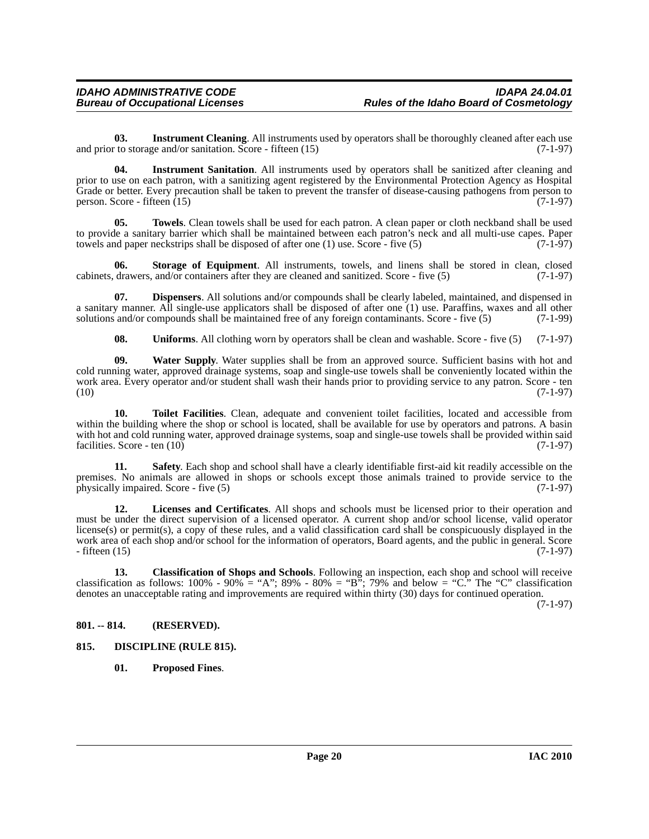<span id="page-19-5"></span>**03.** Instrument Cleaning. All instruments used by operators shall be thoroughly cleaned after each use and prior to storage and/or sanitation. Score - fifteen (15) (7-1-97)

<span id="page-19-6"></span>**04. Instrument Sanitation**. All instruments used by operators shall be sanitized after cleaning and prior to use on each patron, with a sanitizing agent registered by the Environmental Protection Agency as Hospital Grade or better. Every precaution shall be taken to prevent the transfer of disease-causing pathogens from person to person. Score - fifteen  $(15)$  (7-1-97)

<span id="page-19-12"></span>**05. Towels**. Clean towels shall be used for each patron. A clean paper or cloth neckband shall be used to provide a sanitary barrier which shall be maintained between each patron's neck and all multi-use capes. Paper towels and paper neckstrips shall be disposed of after one (1) use. Score - five (5) (7-1-97)

<span id="page-19-10"></span>**06. Storage of Equipment**. All instruments, towels, and linens shall be stored in clean, closed cabinets, drawers, and/or containers after they are cleaned and sanitized. Score - five (5) (7-1-97)

**07. Dispensers**. All solutions and/or compounds shall be clearly labeled, maintained, and dispensed in a sanitary manner. All single-use applicators shall be disposed of after one (1) use. Paraffins, waxes and all other solutions and/or compounds shall be maintained free of any foreign contaminants. Score - five (5) (7-1-99)

<span id="page-19-14"></span><span id="page-19-13"></span><span id="page-19-11"></span><span id="page-19-4"></span>**08.** Uniforms. All clothing worn by operators shall be clean and washable. Score - five (5) (7-1-97)

**09. Water Supply**. Water supplies shall be from an approved source. Sufficient basins with hot and cold running water, approved drainage systems, soap and single-use towels shall be conveniently located within the work area. Every operator and/or student shall wash their hands prior to providing service to any patron. Score - ten (10) (7-1-97)  $(10)$   $(7-1-97)$ 

**10. Toilet Facilities**. Clean, adequate and convenient toilet facilities, located and accessible from within the building where the shop or school is located, shall be available for use by operators and patrons. A basin with hot and cold running water, approved drainage systems, soap and single-use towels shall be provided within said facilities. Score - ten (10) (7-1-97) facilities. Score - ten  $(10)$ 

<span id="page-19-9"></span>**Safety**. Each shop and school shall have a clearly identifiable first-aid kit readily accessible on the premises. No animals are allowed in shops or schools except those animals trained to provide service to the physically impaired. Score - five (5) (7-1-97) physically impaired. Score - five  $(5)$ 

<span id="page-19-7"></span>**12. Licenses and Certificates**. All shops and schools must be licensed prior to their operation and must be under the direct supervision of a licensed operator. A current shop and/or school license, valid operator license(s) or permit(s), a copy of these rules, and a valid classification card shall be conspicuously displayed in the work area of each shop and/or school for the information of operators, Board agents, and the public in general. Score - fifteen (15) (7-1-97)

<span id="page-19-2"></span>**13. Classification of Shops and Schools**. Following an inspection, each shop and school will receive classification as follows:  $100\%$  -  $90\%$  = "A";  $89\%$  -  $80\%$  = "B";  $79\%$  and below = "C." The "C" classification denotes an unacceptable rating and improvements are required within thirty (30) days for continued operation.

(7-1-97)

#### <span id="page-19-0"></span>**801. -- 814. (RESERVED).**

#### <span id="page-19-1"></span>**815. DISCIPLINE (RULE 815).**

<span id="page-19-8"></span><span id="page-19-3"></span>**01. Proposed Fines**.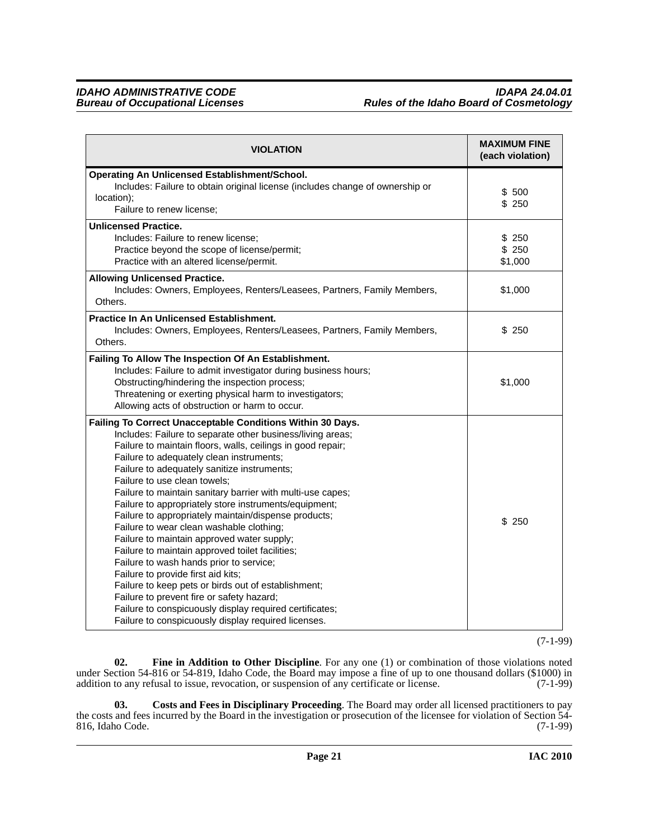| <b>VIOLATION</b>                                                                                                                                                                                                                                                                                                                                                                                                                                                                                                                                                                                                                                                                                                                                                                                                                                                                                                                                      | <b>MAXIMUM FINE</b><br>(each violation) |
|-------------------------------------------------------------------------------------------------------------------------------------------------------------------------------------------------------------------------------------------------------------------------------------------------------------------------------------------------------------------------------------------------------------------------------------------------------------------------------------------------------------------------------------------------------------------------------------------------------------------------------------------------------------------------------------------------------------------------------------------------------------------------------------------------------------------------------------------------------------------------------------------------------------------------------------------------------|-----------------------------------------|
| Operating An Unlicensed Establishment/School.<br>Includes: Failure to obtain original license (includes change of ownership or<br>location);<br>Failure to renew license;                                                                                                                                                                                                                                                                                                                                                                                                                                                                                                                                                                                                                                                                                                                                                                             | \$ 500<br>\$250                         |
| <b>Unlicensed Practice.</b><br>Includes: Failure to renew license;<br>Practice beyond the scope of license/permit;<br>Practice with an altered license/permit.                                                                                                                                                                                                                                                                                                                                                                                                                                                                                                                                                                                                                                                                                                                                                                                        | \$250<br>\$250<br>\$1,000               |
| <b>Allowing Unlicensed Practice.</b><br>Includes: Owners, Employees, Renters/Leasees, Partners, Family Members,<br>Others.                                                                                                                                                                                                                                                                                                                                                                                                                                                                                                                                                                                                                                                                                                                                                                                                                            | \$1,000                                 |
| Practice In An Unlicensed Establishment.<br>Includes: Owners, Employees, Renters/Leasees, Partners, Family Members,<br>Others.                                                                                                                                                                                                                                                                                                                                                                                                                                                                                                                                                                                                                                                                                                                                                                                                                        | \$250                                   |
| Failing To Allow The Inspection Of An Establishment.<br>Includes: Failure to admit investigator during business hours;<br>Obstructing/hindering the inspection process;<br>Threatening or exerting physical harm to investigators;<br>Allowing acts of obstruction or harm to occur.                                                                                                                                                                                                                                                                                                                                                                                                                                                                                                                                                                                                                                                                  | \$1,000                                 |
| Failing To Correct Unacceptable Conditions Within 30 Days.<br>Includes: Failure to separate other business/living areas;<br>Failure to maintain floors, walls, ceilings in good repair;<br>Failure to adequately clean instruments;<br>Failure to adequately sanitize instruments;<br>Failure to use clean towels;<br>Failure to maintain sanitary barrier with multi-use capes;<br>Failure to appropriately store instruments/equipment;<br>Failure to appropriately maintain/dispense products;<br>Failure to wear clean washable clothing;<br>Failure to maintain approved water supply;<br>Failure to maintain approved toilet facilities;<br>Failure to wash hands prior to service;<br>Failure to provide first aid kits;<br>Failure to keep pets or birds out of establishment;<br>Failure to prevent fire or safety hazard;<br>Failure to conspicuously display required certificates;<br>Failure to conspicuously display required licenses. | \$250                                   |

(7-1-99)

<span id="page-20-1"></span>**02. Fine in Addition to Other Discipline**. For any one (1) or combination of those violations noted under Section 54-816 or 54-819, Idaho Code, the Board may impose a fine of up to one thousand dollars (\$1000) in addition to any refusal to issue, revocation, or suspension of any certificate or license. (7-1-99)

<span id="page-20-0"></span>**03. Costs and Fees in Disciplinary Proceeding**. The Board may order all licensed practitioners to pay the costs and fees incurred by the Board in the investigation or prosecution of the licensee for violation of Section 54- 816, Idaho Code. (7-1-99)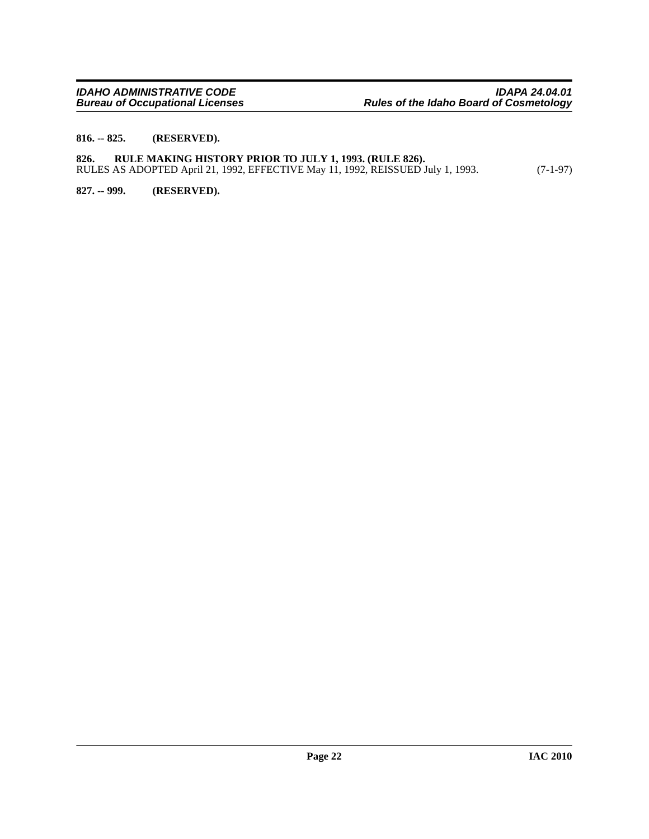#### <span id="page-21-0"></span>**816. -- 825. (RESERVED).**

#### <span id="page-21-1"></span>**826. RULE MAKING HISTORY PRIOR TO JULY 1, 1993. (RULE 826).** RULES AS ADOPTED April 21, 1992, EFFECTIVE May 11, 1992, REISSUED July 1, 1993. (7-1-97)

<span id="page-21-2"></span>**827. -- 999. (RESERVED).**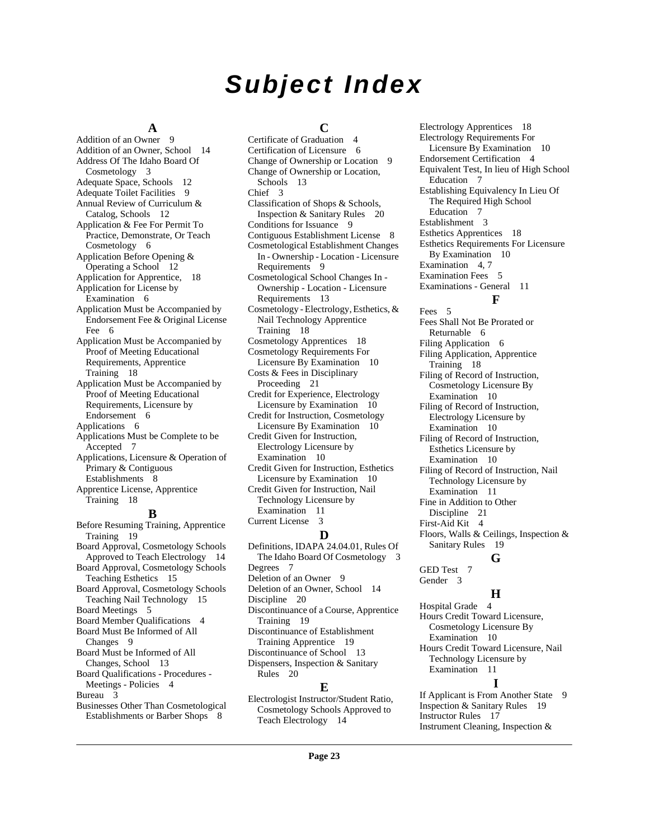## *Subject Index*

#### **A**

[Addition of an Owner](#page-8-3) 9 [Addition of an Owner, School](#page-13-2) 14 [Address Of The Idaho Board Of](#page-2-10)  Cosmetology 3 [Adequate Space, Schools](#page-11-1) 12 [Adequate Toilet Facilities](#page-8-4) 9 [Annual Review of Curriculum &](#page-11-2)  Catalog, Schools 12 [Application & Fee For Permit To](#page-5-6)  Practice, Demonstrate, Or Teach Cosmetology 6 [Application Before Opening &](#page-11-3)  Operating a School 12 [Application for Apprentice,](#page-17-1) 18 [Application for License by](#page-5-7)  Examination 6 [Application Must be Accompanied by](#page-5-8)  Endorsement Fee & Original License Fee 6 [Application Must be Accompanied by](#page-17-2)  Proof of Meeting Educational Requirements, Apprentice Training 18 [Application Must be Accompanied by](#page-5-9)  Proof of Meeting Educational Requirements, Licensure by Endorsement 6 [Applications](#page-5-10) 6 [Applications Must be Complete to be](#page-6-3)  Accepted 7 [Applications, Licensure & Operation of](#page-7-1)  Primary & Contiguous Establishments 8 [Apprentice License, Apprentice](#page-17-3)  Training 18 **B** [Before Resuming Training, Apprentice](#page-18-2)  Training 19 [Board Approval, Cosmetology Schools](#page-13-3) 

Approved to Teach Electrology 14 [Board Approval, Cosmetology Schools](#page-14-4)  Teaching Esthetics 15 [Board Approval, Cosmetology Schools](#page-14-5)  Teaching Nail Technology 15 [Board Meetings](#page-4-2) 5 [Board Member Qualifications](#page-3-2) 4 [Board Must Be Informed of All](#page-8-5)  Changes 9 [Board Must be Informed of All](#page-12-2)  Changes, School 13 [Board Qualifications - Procedures -](#page-3-3)  Meetings - Policies 4 [Bureau](#page-2-11) 3

[Businesses Other Than Cosmetological](#page-7-2)  Establishments or Barber Shops 8

#### **C**

[Certificate of Graduation](#page-3-4) 4 [Certification of Licensure](#page-5-11) 6 [Change of Ownership or Location](#page-8-6) 9 [Change of Ownership or Location,](#page-12-3)  Schools 13 [Chief](#page-2-12) 3 [Classification of Shops & Schools,](#page-19-2)  Inspection & Sanitary Rules 20 [Conditions for Issuance](#page-8-7) 9 [Contiguous Establishment License](#page-7-3) 8 [Cosmetological Establishment Changes](#page-8-8)  In - Ownership - Location - Licensure Requirements 9 [Cosmetological School Changes In -](#page-12-4)  Ownership - Location - Licensure Requirements 13 [Cosmetology - Electrology, Esthetics, &](#page-17-4)  Nail Technology Apprentice Training 18 [Cosmetology Apprentices](#page-17-5) 18 [Cosmetology Requirements For](#page-9-5)  Licensure By Examination 10 [Costs & Fees in Disciplinary](#page-20-0)  Proceeding 21 [Credit for Experience, Electrology](#page-9-6)  Licensure by Examination 10 [Credit for Instruction, Cosmetology](#page-9-7)  Licensure By Examination 10 [Credit Given for Instruction,](#page-9-8)  Electrology Licensure by Examination 10 [Credit Given for Instruction, Esthetics](#page-9-9)  Licensure by Examination 10 [Credit Given for Instruction, Nail](#page-10-7)  Technology Licensure by Examination 11 [Current License](#page-2-13) 3 **D** [Definitions, IDAPA 24.04.01, Rules Of](#page-2-14)  The Idaho Board Of Cosmetology 3 [Degrees](#page-6-4) 7

[Deletion of an Owner](#page-8-9) 9 [Deletion of an Owner, School](#page-13-4) 14 [Discipline](#page-19-3) 20 [Discontinuance of a Course, Apprentice](#page-18-3)  Training 19 [Discontinuance of Establishment](#page-18-4)  Training Apprentice 19 [Discontinuance of School](#page-12-5) 13 [Dispensers, Inspection & Sanitary](#page-19-4)  Rules 20

### **E**

[Electrologist Instructor/Student Ratio,](#page-13-5)  Cosmetology Schools Approved to Teach Electrology 14

[Electrology Apprentices](#page-17-6) 18 [Electrology Requirements For](#page-9-10)  Licensure By Examination 10 [Endorsement Certification](#page-3-5) 4 [Equivalent Test, In lieu of High School](#page-6-5)  Education 7 [Establishing Equivalency In Lieu Of](#page-6-6)  The Required High School Education 7 [Establishment](#page-2-15) 3 [Esthetics Apprentices](#page-17-7) 18 [Esthetics Requirements For Licensure](#page-9-11)  By Examination 10 [Examination](#page-3-6) 4, [7](#page-6-7) [Examination Fees](#page-4-3) 5 [Examinations - General](#page-10-8) 11 **F** [Fees](#page-4-4) 5

[Fees Shall Not Be Prorated or](#page-5-12)  Returnable 6 [Filing Application](#page-5-13) 6 [Filing Application, Apprentice](#page-17-8)  Training 18 [Filing of Record of Instruction,](#page-9-12)  Cosmetology Licensure By Examination 10 [Filing of Record of Instruction,](#page-9-13)  Electrology Licensure by Examination 10 [Filing of Record of Instruction,](#page-9-14)  Esthetics Licensure by Examination 10 [Filing of Record of Instruction, Nail](#page-10-9)  Technology Licensure by Examination 11 [Fine in Addition to Other](#page-20-1)  Discipline 21 [First-Aid Kit](#page-3-7) 4

[Floors, Walls & Ceilings, Inspection &](#page-18-5)  Sanitary Rules 19

#### **G**

[GED Test](#page-6-8) 7 [Gender](#page-2-16) 3

### **H**

[Hospital Grade](#page-3-8) 4 [Hours Credit Toward Licensure,](#page-9-15)  Cosmetology Licensure By Examination 10 [Hours Credit Toward Licensure, Nail](#page-10-10)  Technology Licensure by Examination 11 **I**

[If Applicant is From Another State](#page-8-10) 9 [Inspection & Sanitary Rules](#page-18-6) 19 [Instructor Rules](#page-16-3) 17 [Instrument Cleaning, Inspection &](#page-19-5)